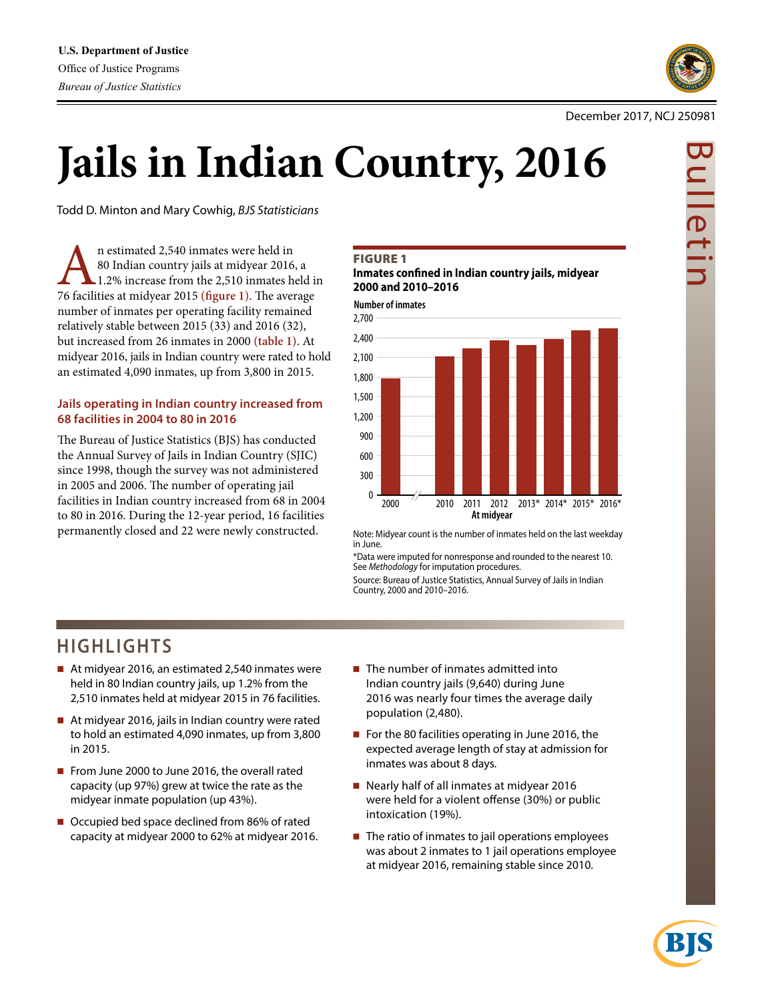

# **Jails in Indian Country, 2016**

Todd D. Minton and Mary Cowhig, *BJS Statisticians*

1.2% in estimated 2,540 inmates were held in<br>
80 Indian country jails at midyear 2016, a<br>
76 facilities at midyear 2015 (figure 1). The average 80 Indian country jails at midyear 2016, a 1.2% increase from the 2,510 inmates held in number of inmates per operating facility remained relatively stable between 2015 (33) and 2016 (32), but increased from 26 inmates in 2000 **(table 1)**. At midyear 2016, jails in Indian country were rated to hold an estimated 4,090 inmates, up from 3,800 in 2015.

# **Jails operating in Indian country increased from 68 facilities in 2004 to 80 in 2016**

The Bureau of Justice Statistics (BJS) has conducted the Annual Survey of Jails in Indian Country (SJIC) since 1998, though the survey was not administered in 2005 and 2006. The number of operating jail facilities in Indian country increased from 68 in 2004 to 80 in 2016. During the 12-year period, 16 facilities permanently closed and 22 were newly constructed.

### **FIGURE 1**

**Inmates confined in Indian country jails, midyear 2000 and 2010–2016**

**Number of inmates**



Note: Midyear count is the number of inmates held on the last weekday in June.

\*Data were imputed for nonresponse and rounded to the nearest 10. See *Methodology* for imputation procedures.

Source: Bureau of Justice Statistics, Annual Survey of Jails in Indian Country, 2000 and 2010–2016.

# **HIGHLIGHTS**

- At midyear 2016, an estimated 2,540 inmates were held in 80 Indian country jails, up 1.2% from the 2,510 inmates held at midyear 2015 in 76 facilities.
- At midyear 2016, jails in Indian country were rated to hold an estimated 4,090 inmates, up from 3,800 in 2015.
- From June 2000 to June 2016, the overall rated capacity (up 97%) grew at twice the rate as the midyear inmate population (up 43%).
- Occupied bed space declined from 86% of rated capacity at midyear 2000 to 62% at midyear 2016.
- $\blacksquare$  The number of inmates admitted into Indian country jails (9,640) during June 2016 was nearly four times the average daily population (2,480).
- For the 80 facilities operating in June 2016, the expected average length of stay at admission for inmates was about 8 days.
- Nearly half of all inmates at midyear 2016 were held for a violent offense (30%) or public intoxication (19%).
- $\blacksquare$  The ratio of inmates to jail operations employees was about 2 inmates to 1 jail operations employee at midyear 2016, remaining stable since 2010.



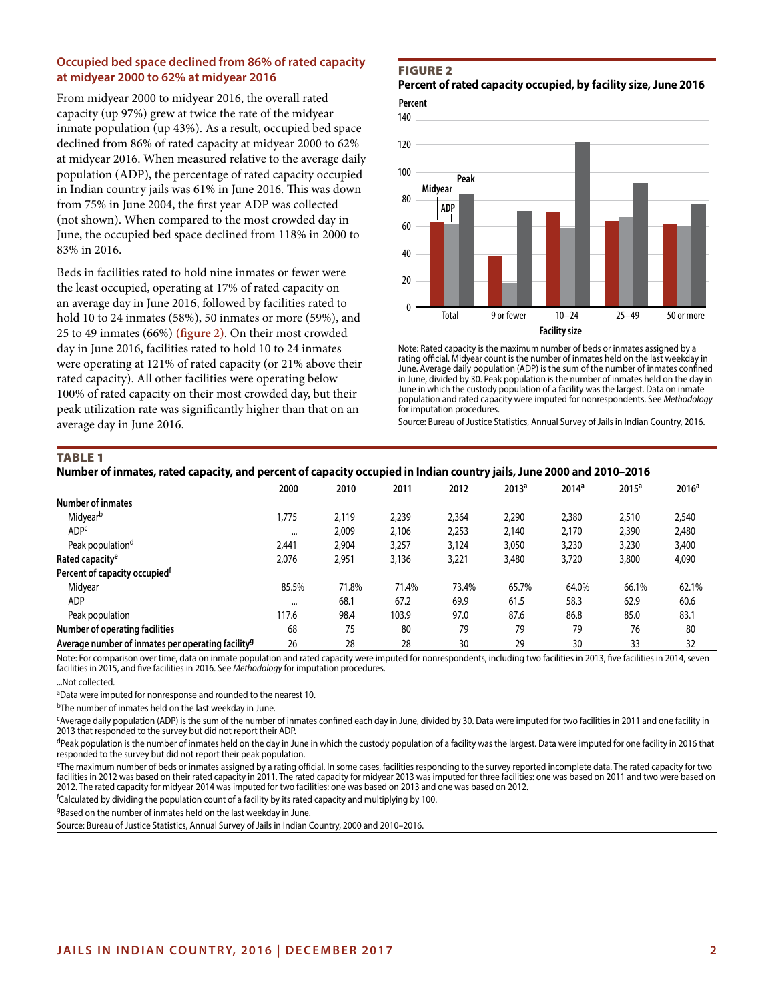# **Occupied bed space declined from 86% of rated capacity at midyear 2000 to 62% at midyear 2016**

From midyear 2000 to midyear 2016, the overall rated capacity (up 97%) grew at twice the rate of the midyear inmate population (up 43%). As a result, occupied bed space declined from 86% of rated capacity at midyear 2000 to 62% at midyear 2016. When measured relative to the average daily population (ADP), the percentage of rated capacity occupied in Indian country jails was 61% in June 2016. This was down from 75% in June 2004, the first year ADP was collected (not shown). When compared to the most crowded day in June, the occupied bed space declined from 118% in 2000 to 83% in 2016.

Beds in facilities rated to hold nine inmates or fewer were the least occupied, operating at 17% of rated capacity on an average day in June 2016, followed by facilities rated to hold 10 to 24 inmates (58%), 50 inmates or more (59%), and 25 to 49 inmates (66%) **(figure 2)**. On their most crowded day in June 2016, facilities rated to hold 10 to 24 inmates were operating at 121% of rated capacity (or 21% above their rated capacity). All other facilities were operating below 100% of rated capacity on their most crowded day, but their peak utilization rate was significantly higher than that on an average day in June 2016.

### Figure 2

**Percent of rated capacity occupied, by facility size, June 2016**

**Percent**



Note: Rated capacity is the maximum number of beds or inmates assigned by a rating official. Midyear count is the number of inmates held on the last weekday in June. Average daily population (ADP) is the sum of the number of inmates confined in June, divided by 30. Peak population is the number of inmates held on the day in June in which the custody population of a facility was the largest. Data on inmate population and rated capacity were imputed for nonrespondents. See *Methodology* for imputation procedures.

Source: Bureau of Justice Statistics, Annual Survey of Jails in Indian Country, 2016.

### TABLE<sub>1</sub>

### **Number of inmates, rated capacity, and percent of capacity occupied in Indian country jails, June 2000 and 2010–2016**

|                                                               | 2000     | 2010  | 2011  | 2012  | 2013 <sup>a</sup> | 2014 <sup>a</sup> | 2015 <sup>a</sup> | 2016 <sup>a</sup> |
|---------------------------------------------------------------|----------|-------|-------|-------|-------------------|-------------------|-------------------|-------------------|
| <b>Number of inmates</b>                                      |          |       |       |       |                   |                   |                   |                   |
| Midyear <sup>b</sup>                                          | 1.775    | 2,119 | 2,239 | 2,364 | 2,290             | 2,380             | 2,510             | 2,540             |
| <b>ADPC</b>                                                   | $\cdots$ | 2,009 | 2,106 | 2,253 | 2.140             | 2,170             | 2,390             | 2,480             |
| Peak population <sup>d</sup>                                  | 2.441    | 2,904 | 3,257 | 3,124 | 3,050             | 3,230             | 3,230             | 3,400             |
| Rated capacity <sup>e</sup>                                   | 2,076    | 2,951 | 3,136 | 3,221 | 3,480             | 3,720             | 3,800             | 4,090             |
| Percent of capacity occupied <sup>t</sup>                     |          |       |       |       |                   |                   |                   |                   |
| Midyear                                                       | 85.5%    | 71.8% | 71.4% | 73.4% | 65.7%             | 64.0%             | 66.1%             | 62.1%             |
| ADP                                                           | $\cdots$ | 68.1  | 67.2  | 69.9  | 61.5              | 58.3              | 62.9              | 60.6              |
| Peak population                                               | 117.6    | 98.4  | 103.9 | 97.0  | 87.6              | 86.8              | 85.0              | 83.1              |
| Number of operating facilities                                | 68       | 75    | 80    | 79    | 79                | 79                | 76                | 80                |
| Average number of inmates per operating facility <sup>9</sup> | 26       | 28    | 28    | 30    | 29                | 30                | 33                | 32                |

Note: For comparison over time, data on inmate population and rated capacity were imputed for nonrespondents, including two facilities in 2013, five facilities in 2014, seven facilities in 2015, and five facilities in 2016. See *Methodology* for imputation procedures.

...Not collected.

aData were imputed for nonresponse and rounded to the nearest 10.

bThe number of inmates held on the last weekday in June.

cAverage daily population (ADP) is the sum of the number of inmates confined each day in June, divided by 30. Data were imputed for two facilities in 2011 and one facility in 2013 that responded to the survey but did not report their ADP.

dpeak population is the number of inmates held on the day in June in which the custody population of a facility was the largest. Data were imputed for one facility in 2016 that responded to the survey but did not report their peak population.

eThe maximum number of beds or inmates assigned by a rating official. In some cases, facilities responding to the survey reported incomplete data. The rated capacity for two facilities in 2012 was based on their rated capacity in 2011. The rated capacity for midyear 2013 was imputed for three facilities: one was based on 2011 and two were based on 2012. The rated capacity for midyear 2014 was imputed for two facilities: one was based on 2013 and one was based on 2012.

f Calculated by dividing the population count of a facility by its rated capacity and multiplying by 100.

9Based on the number of inmates held on the last weekday in June.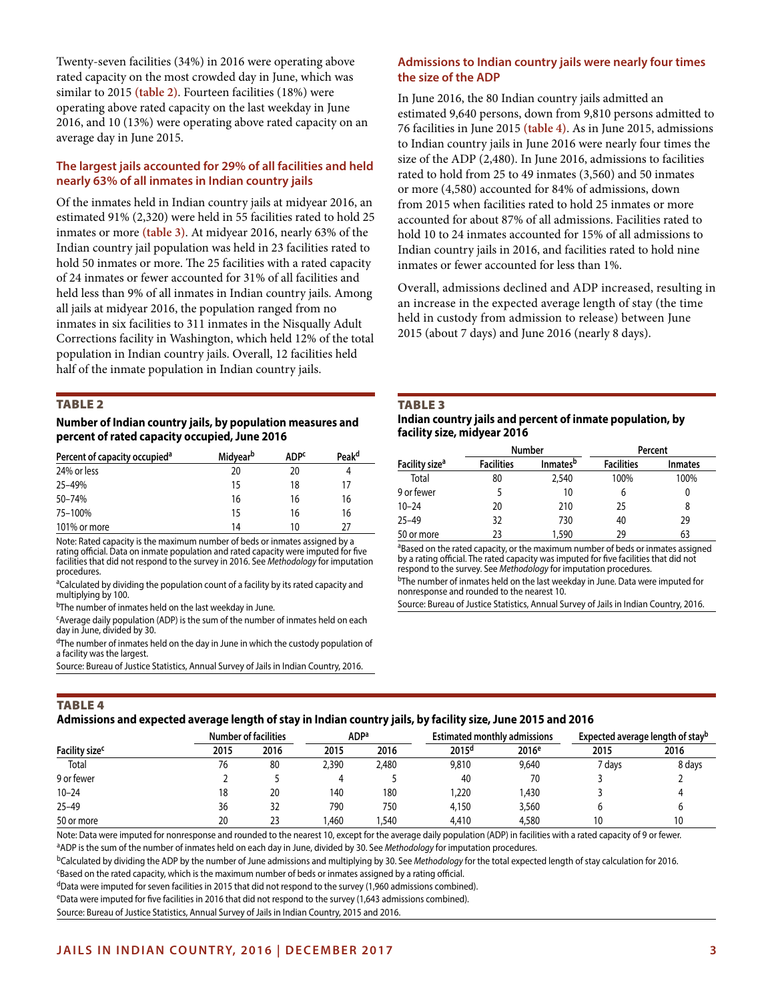Twenty-seven facilities (34%) in 2016 were operating above rated capacity on the most crowded day in June, which was similar to 2015 **(table 2)**. Fourteen facilities (18%) were operating above rated capacity on the last weekday in June 2016, and 10 (13%) were operating above rated capacity on an average day in June 2015.

# **The largest jails accounted for 29% of all facilities and held nearly 63% of all inmates in Indian country jails**

Of the inmates held in Indian country jails at midyear 2016, an estimated 91% (2,320) were held in 55 facilities rated to hold 25 inmates or more **(table 3)**. At midyear 2016, nearly 63% of the Indian country jail population was held in 23 facilities rated to hold 50 inmates or more. The 25 facilities with a rated capacity of 24 inmates or fewer accounted for 31% of all facilities and held less than 9% of all inmates in Indian country jails. Among all jails at midyear 2016, the population ranged from no inmates in six facilities to 311 inmates in the Nisqually Adult Corrections facility in Washington, which held 12% of the total population in Indian country jails. Overall, 12 facilities held half of the inmate population in Indian country jails.

### Table 2

### **Number of Indian country jails, by population measures and percent of rated capacity occupied, June 2016**

| Percent of capacity occupied <sup>a</sup> | <b>Midyear</b> <sup>b</sup> | <b>ADP<sup>c</sup></b> | Peak <sup>d</sup> |
|-------------------------------------------|-----------------------------|------------------------|-------------------|
| 24% or less                               | 20                          | 20                     |                   |
| 25-49%                                    | 15                          | 18                     | 17                |
| 50-74%                                    | 16                          | 16                     | 16                |
| 75-100%                                   | 15                          | 16                     | 16                |
| 101% or more                              | 14                          | 10                     | 27                |

Note: Rated capacity is the maximum number of beds or inmates assigned by a rating official. Data on inmate population and rated capacity were imputed for five facilities that did not respond to the survey in 2016. See *Methodology* for imputation procedures.

<sup>a</sup>Calculated by dividing the population count of a facility by its rated capacity and multiplying by 100.

<sup>b</sup>The number of inmates held on the last weekday in June.

cAverage daily population (ADP) is the sum of the number of inmates held on each day in June, divided by 30.

<sup>d</sup>The number of inmates held on the day in June in which the custody population of a facility was the largest.

Source: Bureau of Justice Statistics, Annual Survey of Jails in Indian Country, 2016.

# **Admissions to Indian country jails were nearly four times the size of the ADP**

In June 2016, the 80 Indian country jails admitted an estimated 9,640 persons, down from 9,810 persons admitted to 76 facilities in June 2015 **(table 4)**. As in June 2015, admissions to Indian country jails in June 2016 were nearly four times the size of the ADP (2,480). In June 2016, admissions to facilities rated to hold from 25 to 49 inmates (3,560) and 50 inmates or more (4,580) accounted for 84% of admissions, down from 2015 when facilities rated to hold 25 inmates or more accounted for about 87% of all admissions. Facilities rated to hold 10 to 24 inmates accounted for 15% of all admissions to Indian country jails in 2016, and facilities rated to hold nine inmates or fewer accounted for less than 1%.

Overall, admissions declined and ADP increased, resulting in an increase in the expected average length of stay (the time held in custody from admission to release) between June 2015 (about 7 days) and June 2016 (nearly 8 days).

#### **TABLE 3**

### **Indian country jails and percent of inmate population, by facility size, midyear 2016**

|                            |                   | <b>Number</b>               | Percent           |                |  |  |  |
|----------------------------|-------------------|-----------------------------|-------------------|----------------|--|--|--|
| Facility size <sup>a</sup> | <b>Facilities</b> | <b>Inmates</b> <sup>b</sup> | <b>Facilities</b> | <b>Inmates</b> |  |  |  |
| Total                      | 80                | 2,540                       | 100%              | 100%           |  |  |  |
| 9 or fewer                 |                   | 10                          | h                 | 0              |  |  |  |
| $10 - 24$                  | 20                | 210                         | 25                | 8              |  |  |  |
| $25 - 49$                  | 32                | 730                         | 40                | 29             |  |  |  |
| 50 or more                 | 23                | 1,590                       | 29                | 63             |  |  |  |

aBased on the rated capacity, or the maximum number of beds or inmates assigned by a rating official. The rated capacity was imputed for five facilities that did not respond to the survey. See *Methodology* for imputation procedures.

bThe number of inmates held on the last weekday in June. Data were imputed for nonresponse and rounded to the nearest 10.

Source: Bureau of Justice Statistics, Annual Survey of Jails in Indian Country, 2016.

# **TABLE 4**

# **Admissions and expected average length of stay in Indian country jails, by facility size, June 2015 and 2016**

|                            |      | <b>Number of facilities</b> |       | . .<br>ADPa | <b>Estimated monthly admissions</b> |                   | Expected average length of stay <sup>b</sup> |        |  |
|----------------------------|------|-----------------------------|-------|-------------|-------------------------------------|-------------------|----------------------------------------------|--------|--|
|                            |      |                             |       |             |                                     |                   |                                              |        |  |
| Facility size <sup>c</sup> | 2015 | 2016                        | 2015  | 2016        | 2015 <sup>d</sup>                   | 2016 <sup>e</sup> | 2015                                         | 2016   |  |
| Total                      | 76   | 80                          | 2.390 | 2.480       | 9,810                               | 9,640             | 7 davs                                       | 8 days |  |
| 9 or fewer                 |      |                             |       |             | 40                                  | 70                |                                              |        |  |
| $10 - 24$                  | 18   | 20                          | 140   | 180         | .220                                | .430              |                                              |        |  |
| $25 - 49$                  | 36   | 32                          | 790   | 750         | 4.150                               | 3,560             |                                              |        |  |
| 50 or more                 | 20   | ົ<br>ر ے                    | .460  | ,540        | 4,410                               | 4,580             | 10                                           | 10     |  |

Note: Data were imputed for nonresponse and rounded to the nearest 10, except for the average daily population (ADP) in facilities with a rated capacity of 9 or fewer. aADP is the sum of the number of inmates held on each day in June, divided by 30. See Methodology for imputation procedures.

<sup>b</sup>Calculated by dividing the ADP by the number of June admissions and multiplying by 30. See *Methodology* for the total expected length of stay calculation for 2016.<br><sup>c</sup>Based on the rated capacity, which is the maximum n

dData were imputed for seven facilities in 2015 that did not respond to the survey (1,960 admissions combined).

eData were imputed for five facilities in 2016 that did not respond to the survey (1,643 admissions combined).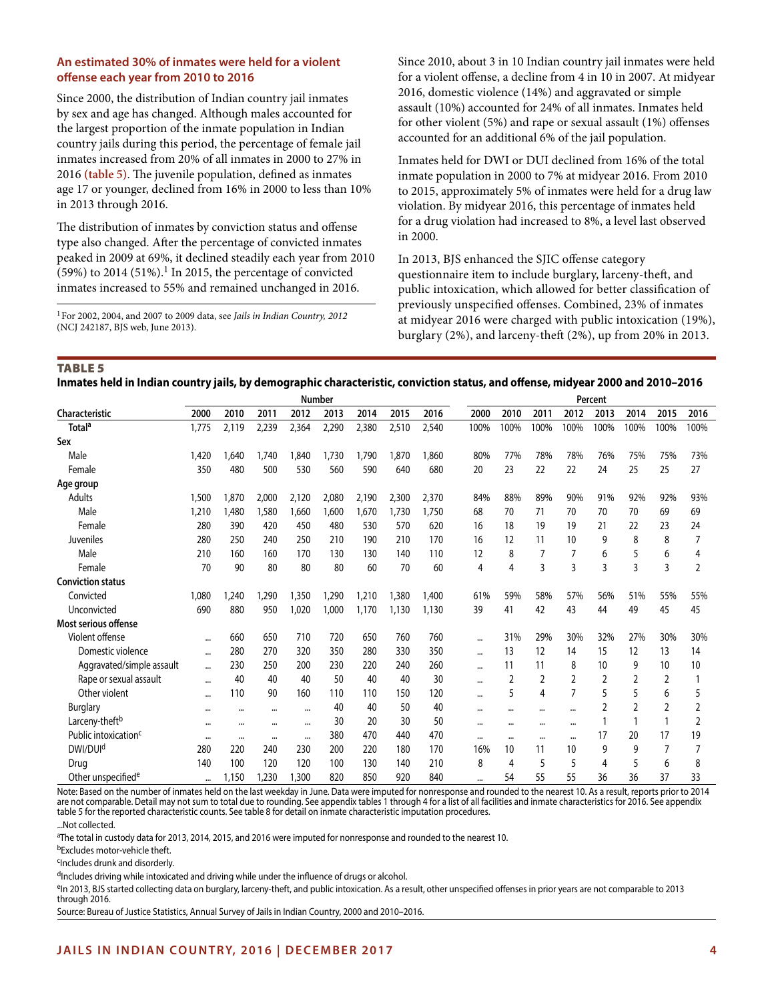# **An estimated 30% of inmates were held for a violent offense each year from 2010 to 2016**

Since 2000, the distribution of Indian country jail inmates by sex and age has changed. Although males accounted for the largest proportion of the inmate population in Indian country jails during this period, the percentage of female jail inmates increased from 20% of all inmates in 2000 to 27% in 2016 **(table 5)**. The juvenile population, defined as inmates age 17 or younger, declined from 16% in 2000 to less than 10% in 2013 through 2016.

The distribution of inmates by conviction status and offense type also changed. After the percentage of convicted inmates peaked in 2009 at 69%, it declined steadily each year from 2010  $(59%)$  to 2014  $(51%)$ .<sup>1</sup> In 2015, the percentage of convicted inmates increased to 55% and remained unchanged in 2016.

1For 2002, 2004, and 2007 to 2009 data, see *Jails in Indian Country, 2012* (NCJ 242187, BJS web, June 2013).

Since 2010, about 3 in 10 Indian country jail inmates were held for a violent offense, a decline from 4 in 10 in 2007. At midyear 2016, domestic violence (14%) and aggravated or simple assault (10%) accounted for 24% of all inmates. Inmates held for other violent (5%) and rape or sexual assault (1%) offenses accounted for an additional 6% of the jail population.

Inmates held for DWI or DUI declined from 16% of the total inmate population in 2000 to 7% at midyear 2016. From 2010 to 2015, approximately 5% of inmates were held for a drug law violation. By midyear 2016, this percentage of inmates held for a drug violation had increased to 8%, a level last observed in 2000.

In 2013, BJS enhanced the SJIC offense category questionnaire item to include burglary, larceny-theft, and public intoxication, which allowed for better classification of previously unspecified offenses. Combined, 23% of inmates at midyear 2016 were charged with public intoxication (19%), burglary (2%), and larceny-theft (2%), up from 20% in 2013.

TABLE<sub>5</sub>

**Inmates held in Indian country jails, by demographic characteristic, conviction status, and offense, midyear 2000 and 2010–2016**

|                                  | <b>Number</b> |       |          |          |       |       | Percent |       |          |                |          |                |      |      |                |      |
|----------------------------------|---------------|-------|----------|----------|-------|-------|---------|-------|----------|----------------|----------|----------------|------|------|----------------|------|
| Characteristic                   | 2000          | 2010  | 2011     | 2012     | 2013  | 2014  | 2015    | 2016  | 2000     | 2010           | 2011     | 2012           | 2013 | 2014 | 2015           | 2016 |
| Total <sup>a</sup>               | 1,775         | 2,119 | 2,239    | 2,364    | 2,290 | 2,380 | 2,510   | 2,540 | 100%     | 100%           | 100%     | 100%           | 100% | 100% | 100%           | 100% |
| Sex                              |               |       |          |          |       |       |         |       |          |                |          |                |      |      |                |      |
| Male                             | 1,420         | .640  | 1,740    | 1,840    | 1,730 | 1.790 | 1,870   | 1.860 | 80%      | 77%            | 78%      | 78%            | 76%  | 75%  | 75%            | 73%  |
| Female                           | 350           | 480   | 500      | 530      | 560   | 590   | 640     | 680   | 20       | 23             | 22       | 22             | 24   | 25   | 25             | 27   |
| Age group                        |               |       |          |          |       |       |         |       |          |                |          |                |      |      |                |      |
| <b>Adults</b>                    | 1,500         | 1,870 | 2,000    | 2,120    | 2,080 | 2,190 | 2,300   | 2,370 | 84%      | 88%            | 89%      | 90%            | 91%  | 92%  | 92%            | 93%  |
| Male                             | 1,210         | 1,480 | 1,580    | 1,660    | 1.600 | 1,670 | 1,730   | 1,750 | 68       | 70             | 71       | 70             | 70   | 70   | 69             | 69   |
| Female                           | 280           | 390   | 420      | 450      | 480   | 530   | 570     | 620   | 16       | 18             | 19       | 19             | 21   | 22   | 23             | 24   |
| Juveniles                        | 280           | 250   | 240      | 250      | 210   | 190   | 210     | 170   | 16       | 12             | 11       | 10             | 9    | 8    | 8              |      |
| Male                             | 210           | 160   | 160      | 170      | 130   | 130   | 140     | 110   | 12       | 8              |          |                | 6    | 5    | 6              | 4    |
| Female                           | 70            | 90    | 80       | 80       | 80    | 60    | 70      | 60    | 4        | 4              | 3        | 3              | 3    | 3    | $\overline{3}$ | 2    |
| <b>Conviction status</b>         |               |       |          |          |       |       |         |       |          |                |          |                |      |      |                |      |
| Convicted                        | 1,080         | 1,240 | 1,290    | 1,350    | 1,290 | 1,210 | 1,380   | 1,400 | 61%      | 59%            | 58%      | 57%            | 56%  | 51%  | 55%            | 55%  |
| Unconvicted                      | 690           | 880   | 950      | 1,020    | 1,000 | 1,170 | 1,130   | 1,130 | 39       | 41             | 42       | 43             | 44   | 49   | 45             | 45   |
| Most serious offense             |               |       |          |          |       |       |         |       |          |                |          |                |      |      |                |      |
| Violent offense                  |               | 660   | 650      | 710      | 720   | 650   | 760     | 760   | $\cdots$ | 31%            | 29%      | 30%            | 32%  | 27%  | 30%            | 30%  |
| Domestic violence                |               | 280   | 270      | 320      | 350   | 280   | 330     | 350   | $\cdots$ | 13             | 12       | 14             | 15   | 12   | 13             | 14   |
| Aggravated/simple assault        |               | 230   | 250      | 200      | 230   | 220   | 240     | 260   | $\cdots$ | 11             | 11       | 8              | 10   | 9    | 10             | 10   |
| Rape or sexual assault           |               | 40    | 40       | 40       | 50    | 40    | 40      | 30    | $\cdots$ | $\overline{2}$ | 2        | $\overline{2}$ | 2    | 2    | 2              |      |
| Other violent                    |               | 110   | 90       | 160      | 110   | 110   | 150     | 120   | $\cdots$ | 5              | 4        | 7              | 5    | 5    | 6              | 5    |
| <b>Burglary</b>                  |               |       | $\cdots$ |          | 40    | 40    | 50      | 40    | $\cdots$ | $\cdots$       | $\cdots$ | $\ddotsc$      | 2    | 2    | 2              | 2    |
| Larceny-theft <sup>b</sup>       | $\ddotsc$     |       |          | $\cdots$ | 30    | 20    | 30      | 50    | $\cdots$ | $\cdots$       | $\cdots$ | $\cdots$       |      |      |                | 2    |
| Public intoxication <sup>c</sup> |               |       |          |          | 380   | 470   | 440     | 470   | $\cdots$ | $\cdots$       | $\cdots$ |                | 17   | 20   | 17             | 19   |
| DWI/DUI <sup>d</sup>             | 280           | 220   | 240      | 230      | 200   | 220   | 180     | 170   | 16%      | 10             | 11       | 10             | 9    | 9    | 7              |      |
| Drug                             | 140           | 100   | 120      | 120      | 100   | 130   | 140     | 210   | 8        | 4              | 5        | 5              | 4    | 5    | 6              | 8    |
| Other unspecified <sup>e</sup>   |               | 1,150 | 1,230    | 1,300    | 820   | 850   | 920     | 840   | $\cdots$ | 54             | 55       | 55             | 36   | 36   | 37             | 33   |

Note: Based on the number of inmates held on the last weekday in June. Data were imputed for nonresponse and rounded to the nearest 10. As a result, reports prior to 2014 are not comparable. Detail may not sum to total due to rounding. See appendix tables 1 through 4 for a list of all facilities and inmate characteristics for 2016. See appendix table 5 for the reported characteristic counts. See table 8 for detail on inmate characteristic imputation procedures.

...Not collected.

<sup>a</sup>The total in custody data for 2013, 2014, 2015, and 2016 were imputed for nonresponse and rounded to the nearest 10.

bExcludes motor-vehicle theft.

cIncludes drunk and disorderly.

dIncludes driving while intoxicated and driving while under the influence of drugs or alcohol.

eIn 2013, BJS started collecting data on burglary, larceny-theft, and public intoxication. As a result, other unspecified offenses in prior years are not comparable to 2013 through 2016.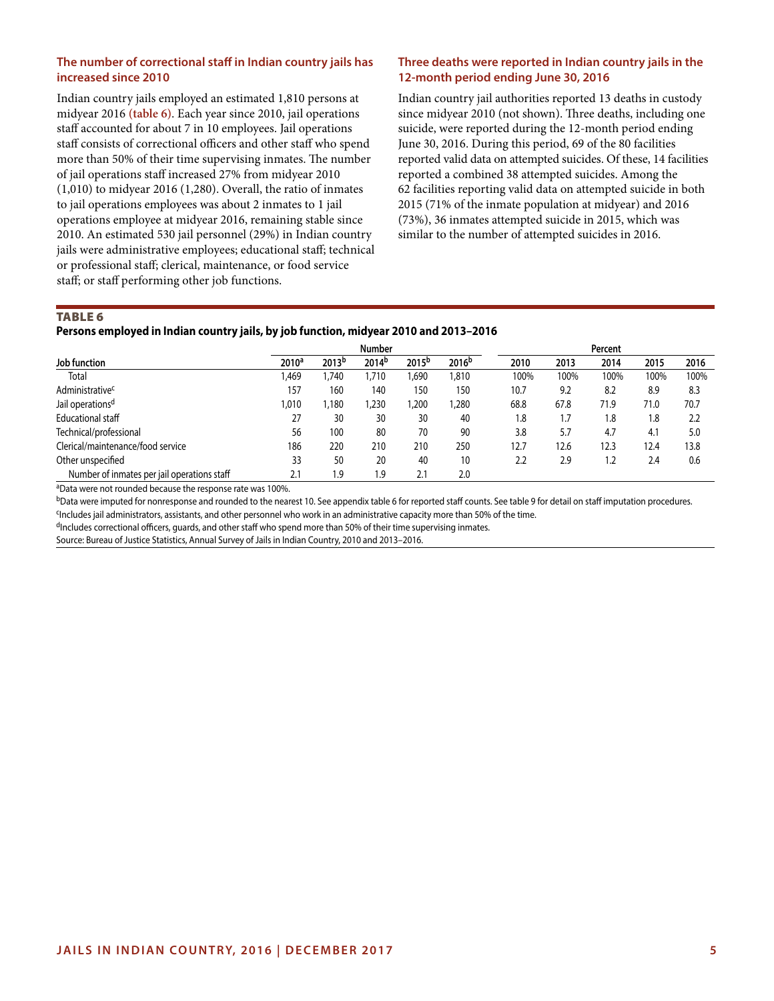# **The number of correctional staff in Indian country jails has increased since 2010**

Indian country jails employed an estimated 1,810 persons at midyear 2016 **(table 6)**. Each year since 2010, jail operations staff accounted for about 7 in 10 employees. Jail operations staff consists of correctional officers and other staff who spend more than 50% of their time supervising inmates. The number of jail operations staff increased 27% from midyear 2010 (1,010) to midyear 2016 (1,280). Overall, the ratio of inmates to jail operations employees was about 2 inmates to 1 jail operations employee at midyear 2016, remaining stable since 2010. An estimated 530 jail personnel (29%) in Indian country jails were administrative employees; educational staff; technical or professional staff; clerical, maintenance, or food service staff; or staff performing other job functions.

# **Three deaths were reported in Indian country jails in the 12-month period ending June 30, 2016**

Indian country jail authorities reported 13 deaths in custody since midyear 2010 (not shown). Three deaths, including one suicide, were reported during the 12-month period ending June 30, 2016. During this period, 69 of the 80 facilities reported valid data on attempted suicides. Of these, 14 facilities reported a combined 38 attempted suicides. Among the 62 facilities reporting valid data on attempted suicide in both 2015 (71% of the inmate population at midyear) and 2016 (73%), 36 inmates attempted suicide in 2015, which was similar to the number of attempted suicides in 2016.

### **TABLE 6**

### **Persons employed in Indian country jails, by job function, midyear 2010 and 2013–2016**

|                                             |                   |                   | <b>Number</b>     |                   |                   |      |      | Percent |      |      |
|---------------------------------------------|-------------------|-------------------|-------------------|-------------------|-------------------|------|------|---------|------|------|
| Job function                                | 2010 <sup>a</sup> | 2013 <sup>b</sup> | 2014 <sup>b</sup> | 2015 <sup>b</sup> | 2016 <sup>b</sup> | 2010 | 2013 | 2014    | 2015 | 2016 |
| Total                                       | <b>1.469</b>      | ,740              | 1,710             | 1,690             | 1,810             | 100% | 100% | 100%    | 100% | 100% |
| Administrative <sup>c</sup>                 | 157               | 160               | 140               | 150               | 150               | 10.7 | 9.2  | 8.2     | 8.9  | 8.3  |
| Jail operations <sup>d</sup>                | 010, ا            | ,180              | 1,230             | ,200              | 1,280             | 68.8 | 67.8 | 71.9    | 71.0 | 70.7 |
| <b>Educational staff</b>                    | 27                | 30                | 30                | 30                | 40                | 1.8  | 1.7  | 8.۱     | 1.8  | 2.2  |
| Technical/professional                      | 56                | 100               | 80                | 70                | 90                | 3.8  | 5.7  | 4.7     | 4.1  | 5.0  |
| Clerical/maintenance/food service           | 186               | 220               | 210               | 210               | 250               | 12.7 | 12.6 | 12.3    | 12.4 | 13.8 |
| Other unspecified                           | 33                | 50                | 20                | 40                | 10                | 2.2  | 2.9  | . .2    | 2.4  | 0.6  |
| Number of inmates per jail operations staff | 2.1               | 1.9               | 1.9               | 2.1               | 2.0               |      |      |         |      |      |

aData were not rounded because the response rate was 100%.

<sup>b</sup>Data were imputed for nonresponse and rounded to the nearest 10. See appendix table 6 for reported staff counts. See table 9 for detail on staff imputation procedures. <sup>c</sup>Includes jail administrators, assistants, and other personnel who work in an administrative capacity more than 50% of the time.

dIncludes correctional officers, guards, and other staff who spend more than 50% of their time supervising inmates.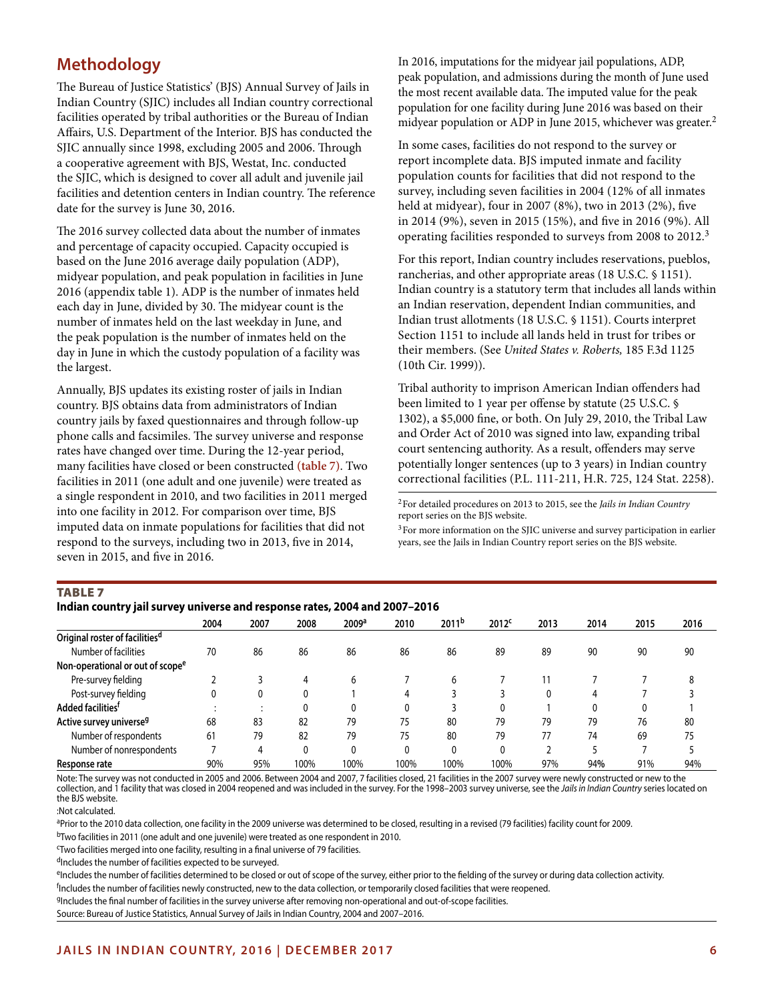# **Methodology**

The Bureau of Justice Statistics' (BJS) Annual Survey of Jails in Indian Country (SJIC) includes all Indian country correctional facilities operated by tribal authorities or the Bureau of Indian Affairs, U.S. Department of the Interior. BJS has conducted the SJIC annually since 1998, excluding 2005 and 2006. Through a cooperative agreement with BJS, Westat, Inc. conducted the SJIC, which is designed to cover all adult and juvenile jail facilities and detention centers in Indian country. The reference date for the survey is June 30, 2016.

The 2016 survey collected data about the number of inmates and percentage of capacity occupied. Capacity occupied is based on the June 2016 average daily population (ADP), midyear population, and peak population in facilities in June 2016 (appendix table 1). ADP is the number of inmates held each day in June, divided by 30. The midyear count is the number of inmates held on the last weekday in June, and the peak population is the number of inmates held on the day in June in which the custody population of a facility was the largest.

Annually, BJS updates its existing roster of jails in Indian country. BJS obtains data from administrators of Indian country jails by faxed questionnaires and through follow-up phone calls and facsimiles. The survey universe and response rates have changed over time. During the 12-year period, many facilities have closed or been constructed **(table 7)**. Two facilities in 2011 (one adult and one juvenile) were treated as a single respondent in 2010, and two facilities in 2011 merged into one facility in 2012. For comparison over time, BJS imputed data on inmate populations for facilities that did not respond to the surveys, including two in 2013, five in 2014, seven in 2015, and five in 2016.

In 2016, imputations for the midyear jail populations, ADP, peak population, and admissions during the month of June used the most recent available data. The imputed value for the peak population for one facility during June 2016 was based on their midyear population or ADP in June 2015, whichever was greater.2

In some cases, facilities do not respond to the survey or report incomplete data. BJS imputed inmate and facility population counts for facilities that did not respond to the survey, including seven facilities in 2004 (12% of all inmates held at midyear), four in 2007 (8%), two in 2013 (2%), five in 2014 (9%), seven in 2015 (15%), and five in 2016 (9%). All operating facilities responded to surveys from 2008 to 2012.<sup>3</sup>

For this report, Indian country includes reservations, pueblos, rancherias, and other appropriate areas (18 U.S.C. § 1151). Indian country is a statutory term that includes all lands within an Indian reservation, dependent Indian communities, and Indian trust allotments (18 U.S.C. § 1151). Courts interpret Section 1151 to include all lands held in trust for tribes or their members. (See *United States v. Roberts,* 185 F.3d 1125 (10th Cir. 1999)).

Tribal authority to imprison American Indian offenders had been limited to 1 year per offense by statute (25 U.S.C. § 1302), a \$5,000 fine, or both. On July 29, 2010, the Tribal Law and Order Act of 2010 was signed into law, expanding tribal court sentencing authority. As a result, offenders may serve potentially longer sentences (up to 3 years) in Indian country correctional facilities (P.L. 111-211, H.R. 725, 124 Stat. 2258).

2For detailed procedures on 2013 to 2015, see the *Jails in Indian Country* report series on the BJS website.

3For more information on the SJIC universe and survey participation in earlier years, see the Jails in Indian Country report series on the BJS website.

### **TABLE 7**

### **Indian country jail survey universe and response rates, 2004 and 2007–2016**

| $m$ and $m$ . The same state $\alpha$ is the state of the state of $m$ and $m$ and $m$ and $m$ is the state of $m$ |      |      |      |                   |      |                   |                   |      |      |      |      |  |
|--------------------------------------------------------------------------------------------------------------------|------|------|------|-------------------|------|-------------------|-------------------|------|------|------|------|--|
|                                                                                                                    | 2004 | 2007 | 2008 | 2009 <sup>a</sup> | 2010 | 2011 <sup>b</sup> | 2012 <sup>c</sup> | 2013 | 2014 | 2015 | 2016 |  |
| Original roster of facilities <sup>d</sup>                                                                         |      |      |      |                   |      |                   |                   |      |      |      |      |  |
| Number of facilities                                                                                               | 70   | 86   | 86   | 86                | 86   | 86                | 89                | 89   | 90   | 90   | 90   |  |
| Non-operational or out of scope <sup>e</sup>                                                                       |      |      |      |                   |      |                   |                   |      |      |      |      |  |
| Pre-survey fielding                                                                                                |      |      | 4    | 6                 |      | h                 |                   |      |      |      |      |  |
| Post-survey fielding                                                                                               |      |      | 0    |                   |      |                   |                   |      |      |      |      |  |
| Added facilities <sup>f</sup>                                                                                      |      |      |      | 0                 | 0    |                   |                   |      |      |      |      |  |
| Active survey universe <sup>g</sup>                                                                                | 68   | 83   | 82   | 79                | 75   | 80                | 79                | 79   | 79   | 76   | 80   |  |
| Number of respondents                                                                                              | 61   | 79   | 82   | 79                | 75   | 80                | 79                | 77   | 74   | 69   | 75   |  |
| Number of nonrespondents                                                                                           |      |      | 0    | 0                 | 0    | 0                 | ٥                 |      |      |      |      |  |
| Response rate                                                                                                      | 90%  | 95%  | 100% | 100%              | 100% | 100%              | 100%              | 97%  | 94%  | 91%  | 94%  |  |

Note: The survey was not conducted in 2005 and 2006. Between 2004 and 2007, 7 facilities closed, 21 facilities in the 2007 survey were newly constructed or new to the collection, and 1 facility that was closed in 2004 reopened and was included in the survey. For the 1998–2003 survey universe, see the *Jails in Indian Country* series located on the BJS website.

:Not calculated.

aPrior to the 2010 data collection, one facility in the 2009 universe was determined to be closed, resulting in a revised (79 facilities) facility count for 2009.

bTwo facilities in 2011 (one adult and one juvenile) were treated as one respondent in 2010.

c Two facilities merged into one facility, resulting in a final universe of 79 facilities.

dIncludes the number of facilities expected to be surveyed.

eIncludes the number of facilities determined to be closed or out of scope of the survey, either prior to the fielding of the survey or during data collection activity. f Includes the number of facilities newly constructed, new to the data collection, or temporarily closed facilities that were reopened.

gIncludes the final number of facilities in the survey universe after removing non-operational and out-of-scope facilities.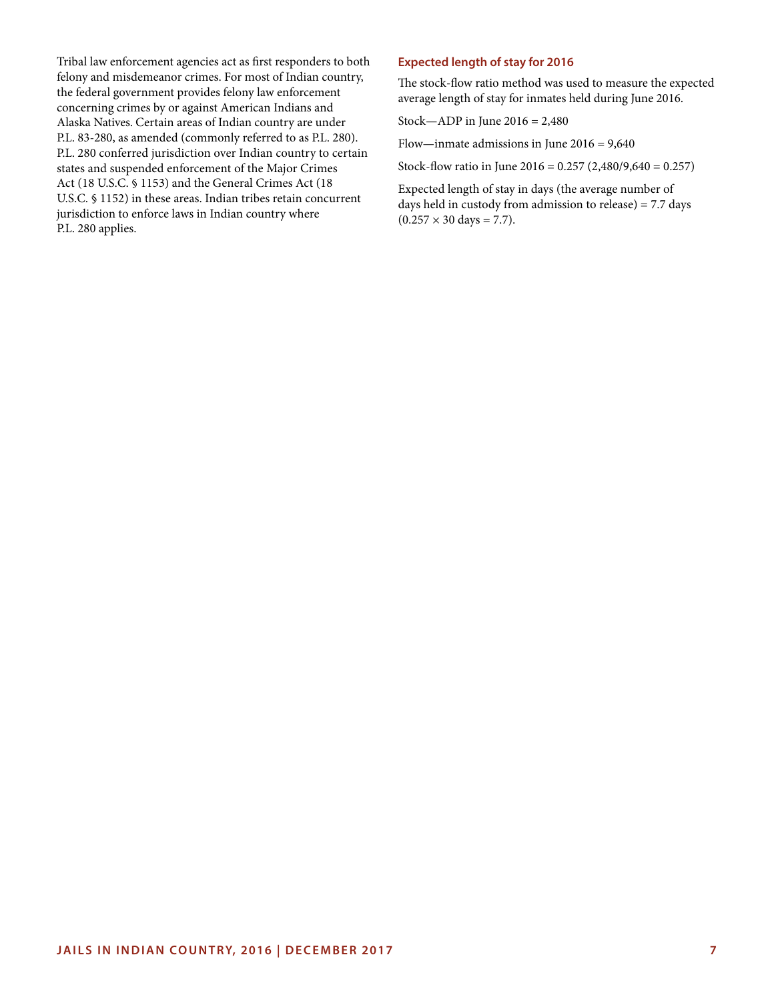Tribal law enforcement agencies act as first responders to both felony and misdemeanor crimes. For most of Indian country, the federal government provides felony law enforcement concerning crimes by or against American Indians and Alaska Natives. Certain areas of Indian country are under P.L. 83-280, as amended (commonly referred to as P.L. 280). P.L. 280 conferred jurisdiction over Indian country to certain states and suspended enforcement of the Major Crimes Act (18 U.S.C. § 1153) and the General Crimes Act (18 U.S.C. § 1152) in these areas. Indian tribes retain concurrent jurisdiction to enforce laws in Indian country where P.L. 280 applies.

# **Expected length of stay for 2016**

The stock-flow ratio method was used to measure the expected average length of stay for inmates held during June 2016.

Stock—ADP in June 2016 = 2,480

Flow—inmate admissions in June 2016 = 9,640

Stock-flow ratio in June 2016 = 0.257 (2,480/9,640 = 0.257)

Expected length of stay in days (the average number of days held in custody from admission to release) = 7.7 days  $(0.257 \times 30 \text{ days} = 7.7).$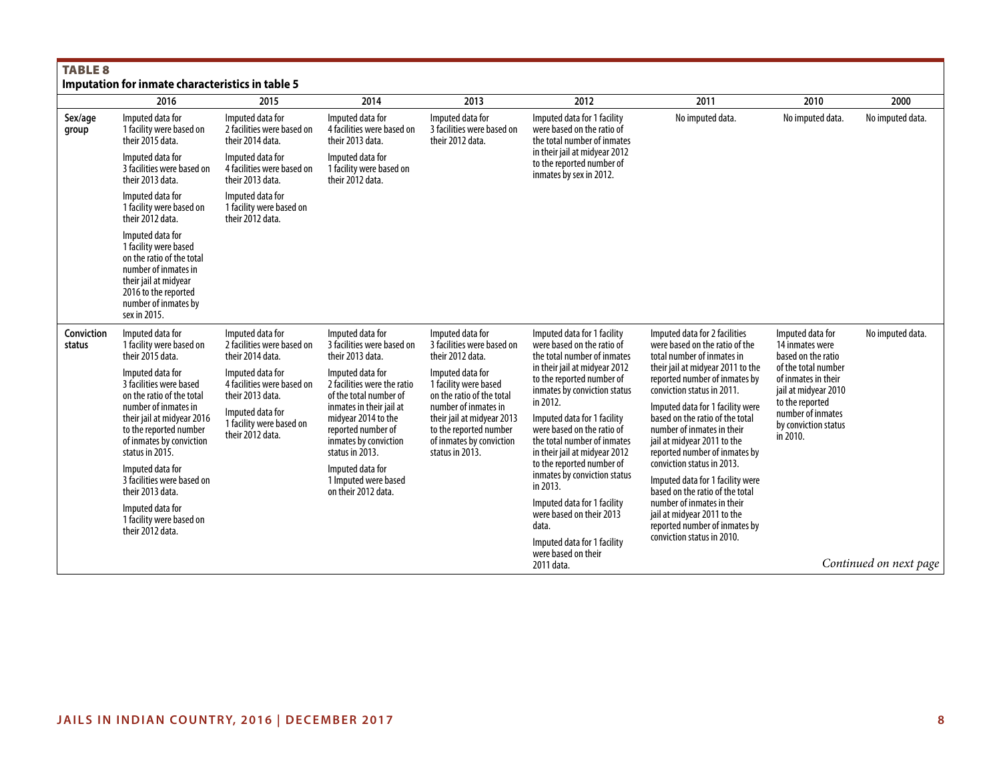| <b>TABLE 8</b>                                   |
|--------------------------------------------------|
| Imputation for inmate characteristics in table 5 |

|                      | Imputation for inmate characteristics in table 5                                                                                                                                                                                                                                                                                                  |                                                                                                                                        |                                                                                                                                                                                                                                                                   |                                                                                                                                                                                                       |                                                                                                                                                                                                                                                                                                                                                                                                                                        |                                                                                                                                                                                                                                                                                                                                                                                                                                                                                                        |                                                                                                                                                |                        |
|----------------------|---------------------------------------------------------------------------------------------------------------------------------------------------------------------------------------------------------------------------------------------------------------------------------------------------------------------------------------------------|----------------------------------------------------------------------------------------------------------------------------------------|-------------------------------------------------------------------------------------------------------------------------------------------------------------------------------------------------------------------------------------------------------------------|-------------------------------------------------------------------------------------------------------------------------------------------------------------------------------------------------------|----------------------------------------------------------------------------------------------------------------------------------------------------------------------------------------------------------------------------------------------------------------------------------------------------------------------------------------------------------------------------------------------------------------------------------------|--------------------------------------------------------------------------------------------------------------------------------------------------------------------------------------------------------------------------------------------------------------------------------------------------------------------------------------------------------------------------------------------------------------------------------------------------------------------------------------------------------|------------------------------------------------------------------------------------------------------------------------------------------------|------------------------|
|                      | 2016                                                                                                                                                                                                                                                                                                                                              | 2015                                                                                                                                   | 2014                                                                                                                                                                                                                                                              | 2013                                                                                                                                                                                                  | 2012                                                                                                                                                                                                                                                                                                                                                                                                                                   | 2011                                                                                                                                                                                                                                                                                                                                                                                                                                                                                                   | 2010                                                                                                                                           | 2000                   |
| Sex/age<br>group     | Imputed data for<br>1 facility were based on<br>their 2015 data.                                                                                                                                                                                                                                                                                  | Imputed data for<br>2 facilities were based on<br>their 2014 data.                                                                     | Imputed data for<br>4 facilities were based on<br>their 2013 data.                                                                                                                                                                                                | Imputed data for<br>3 facilities were based on<br>their 2012 data.                                                                                                                                    | Imputed data for 1 facility<br>were based on the ratio of<br>the total number of inmates                                                                                                                                                                                                                                                                                                                                               | No imputed data.                                                                                                                                                                                                                                                                                                                                                                                                                                                                                       | No imputed data.                                                                                                                               | No imputed data.       |
|                      | Imputed data for<br>3 facilities were based on<br>their 2013 data.                                                                                                                                                                                                                                                                                | Imputed data for<br>4 facilities were based on<br>their 2013 data.                                                                     | Imputed data for<br>1 facility were based on<br>their 2012 data.                                                                                                                                                                                                  |                                                                                                                                                                                                       | in their jail at midyear 2012<br>to the reported number of<br>inmates by sex in 2012.                                                                                                                                                                                                                                                                                                                                                  |                                                                                                                                                                                                                                                                                                                                                                                                                                                                                                        |                                                                                                                                                |                        |
|                      | Imputed data for<br>1 facility were based on<br>their 2012 data.                                                                                                                                                                                                                                                                                  | Imputed data for<br>1 facility were based on<br>their 2012 data.                                                                       |                                                                                                                                                                                                                                                                   |                                                                                                                                                                                                       |                                                                                                                                                                                                                                                                                                                                                                                                                                        |                                                                                                                                                                                                                                                                                                                                                                                                                                                                                                        |                                                                                                                                                |                        |
|                      | Imputed data for<br>1 facility were based<br>on the ratio of the total<br>number of inmates in<br>their jail at midyear<br>2016 to the reported<br>number of inmates by<br>sex in 2015.                                                                                                                                                           |                                                                                                                                        |                                                                                                                                                                                                                                                                   |                                                                                                                                                                                                       |                                                                                                                                                                                                                                                                                                                                                                                                                                        |                                                                                                                                                                                                                                                                                                                                                                                                                                                                                                        |                                                                                                                                                |                        |
| Conviction<br>status | Imputed data for<br>1 facility were based on<br>their 2015 data.                                                                                                                                                                                                                                                                                  | Imputed data for<br>2 facilities were based on<br>their 2014 data.                                                                     | Imputed data for<br>3 facilities were based on<br>their 2013 data.                                                                                                                                                                                                | Imputed data for<br>3 facilities were based on<br>their 2012 data.                                                                                                                                    | Imputed data for 1 facility<br>were based on the ratio of<br>the total number of inmates                                                                                                                                                                                                                                                                                                                                               | Imputed data for 2 facilities<br>were based on the ratio of the<br>total number of inmates in                                                                                                                                                                                                                                                                                                                                                                                                          | Imputed data for<br>14 inmates were<br>based on the ratio                                                                                      | No imputed data.       |
|                      | Imputed data for<br>3 facilities were based<br>on the ratio of the total<br>number of inmates in<br>their jail at midyear 2016<br>to the reported number<br>of inmates by conviction<br>status in 2015.<br>Imputed data for<br>3 facilities were based on<br>their 2013 data.<br>Imputed data for<br>1 facility were based on<br>their 2012 data. | Imputed data for<br>4 facilities were based on<br>their 2013 data.<br>Imputed data for<br>1 facility were based on<br>their 2012 data. | Imputed data for<br>2 facilities were the ratio<br>of the total number of<br>inmates in their jail at<br>midyear 2014 to the<br>reported number of<br>inmates by conviction<br>status in 2013.<br>Imputed data for<br>1 Imputed were based<br>on their 2012 data. | Imputed data for<br>1 facility were based<br>on the ratio of the total<br>number of inmates in<br>their jail at midyear 2013<br>to the reported number<br>of inmates by conviction<br>status in 2013. | in their jail at midyear 2012<br>to the reported number of<br>inmates by conviction status<br>in 2012.<br>Imputed data for 1 facility<br>were based on the ratio of<br>the total number of inmates<br>in their jail at midyear 2012<br>to the reported number of<br>inmates by conviction status<br>in 2013.<br>Imputed data for 1 facility<br>were based on their 2013<br>data.<br>Imputed data for 1 facility<br>were based on their | their jail at midyear 2011 to the<br>reported number of inmates by<br>conviction status in 2011.<br>Imputed data for 1 facility were<br>based on the ratio of the total<br>number of inmates in their<br>jail at midyear 2011 to the<br>reported number of inmates by<br>conviction status in 2013.<br>Imputed data for 1 facility were<br>based on the ratio of the total<br>number of inmates in their<br>jail at midyear 2011 to the<br>reported number of inmates by<br>conviction status in 2010. | of the total number<br>of inmates in their<br>jail at midyear 2010<br>to the reported<br>number of inmates<br>by conviction status<br>in 2010. |                        |
|                      |                                                                                                                                                                                                                                                                                                                                                   |                                                                                                                                        |                                                                                                                                                                                                                                                                   |                                                                                                                                                                                                       | 2011 data.                                                                                                                                                                                                                                                                                                                                                                                                                             |                                                                                                                                                                                                                                                                                                                                                                                                                                                                                                        |                                                                                                                                                | Continued on next page |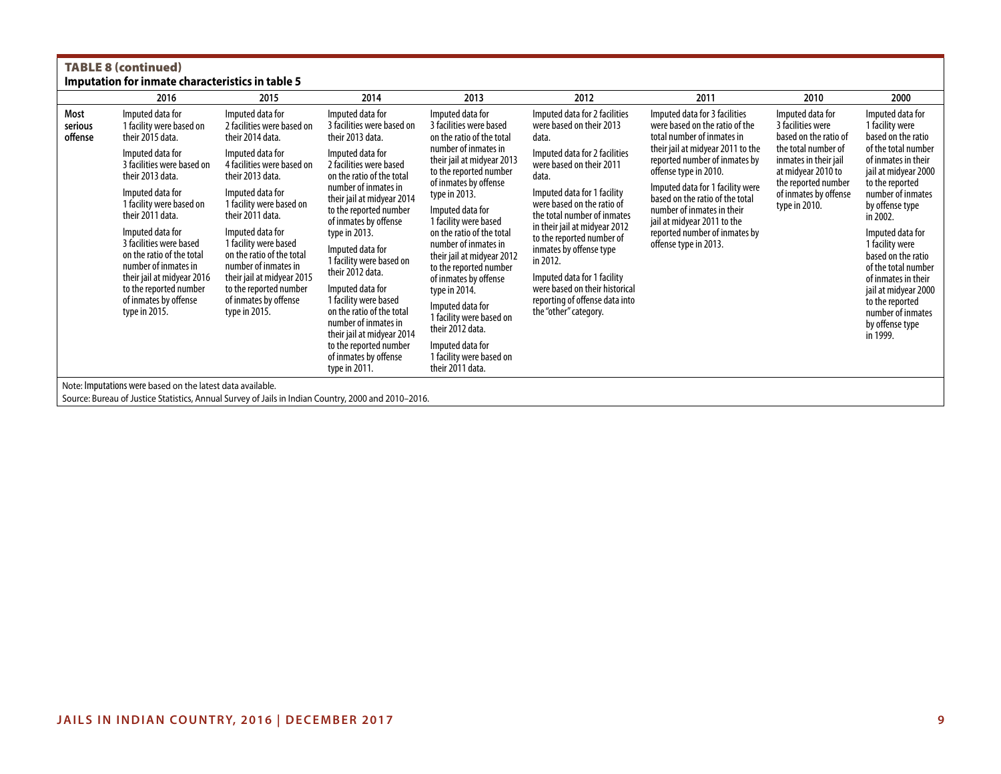|                            | <b>TABLE 8 (continued)</b><br>Imputation for inmate characteristics in table 5                                                                                                                     |                                                                                                                                                                                                  |                                                                                                                                                                                                                   |                                                                                                                                                                                                                                                  |                                                                                          |                                                                                                                                  |                                                                                                                                                                                                                               |                                                                                       |  |                                                                                                                                                                                                        |
|----------------------------|----------------------------------------------------------------------------------------------------------------------------------------------------------------------------------------------------|--------------------------------------------------------------------------------------------------------------------------------------------------------------------------------------------------|-------------------------------------------------------------------------------------------------------------------------------------------------------------------------------------------------------------------|--------------------------------------------------------------------------------------------------------------------------------------------------------------------------------------------------------------------------------------------------|------------------------------------------------------------------------------------------|----------------------------------------------------------------------------------------------------------------------------------|-------------------------------------------------------------------------------------------------------------------------------------------------------------------------------------------------------------------------------|---------------------------------------------------------------------------------------|--|--------------------------------------------------------------------------------------------------------------------------------------------------------------------------------------------------------|
|                            | 2016                                                                                                                                                                                               | 2015                                                                                                                                                                                             | 2014                                                                                                                                                                                                              | 2013                                                                                                                                                                                                                                             | 2012                                                                                     | 2011                                                                                                                             | 2010                                                                                                                                                                                                                          | 2000                                                                                  |  |                                                                                                                                                                                                        |
| Most<br>serious<br>offense | Imputed data for<br>1 facility were based on<br>their 2015 data.                                                                                                                                   | Imputed data for<br>2 facilities were based on<br>their 2014 data.                                                                                                                               | Imputed data for<br>3 facilities were based on<br>their 2013 data.                                                                                                                                                | Imputed data for<br>3 facilities were based<br>on the ratio of the total                                                                                                                                                                         | Imputed data for 2 facilities<br>were based on their 2013<br>data.                       | Imputed data for 3 facilities<br>were based on the ratio of the<br>total number of inmates in                                    | Imputed data for<br>3 facilities were<br>based on the ratio of                                                                                                                                                                | Imputed data for<br>1 facility were<br>based on the ratio                             |  |                                                                                                                                                                                                        |
|                            | Imputed data for<br>3 facilities were based on<br>their 2013 data.                                                                                                                                 | Imputed data for<br>4 facilities were based on<br>their 2013 data.                                                                                                                               | Imputed data for<br>2 facilities were based<br>on the ratio of the total                                                                                                                                          | number of inmates in<br>their jail at midyear 2013<br>to the reported number<br>of inmates by offense                                                                                                                                            | Imputed data for 2 facilities<br>were based on their 2011<br>data.                       | their jail at midyear 2011 to the<br>reported number of inmates by<br>offense type in 2010.                                      | the total number of<br>inmates in their jail<br>at midyear 2010 to<br>the reported number                                                                                                                                     | of the total number<br>of inmates in their<br>jail at midyear 2000<br>to the reported |  |                                                                                                                                                                                                        |
|                            | Imputed data for<br>1 facility were based on<br>their 2011 data.                                                                                                                                   | Imputed data for<br>1 facility were based on<br>their 2011 data.                                                                                                                                 | number of inmates in<br>their jail at midyear 2014<br>to the reported number<br>of inmates by offense                                                                                                             | type in 2013.<br>Imputed data for                                                                                                                                                                                                                | Imputed data for 1 facility<br>were based on the ratio of<br>the total number of inmates | Imputed data for 1 facility were<br>based on the ratio of the total<br>number of inmates in their<br>jail at midyear 2011 to the | of inmates by offense<br>type in 2010.                                                                                                                                                                                        | number of inmates<br>by offense type<br>in 2002.                                      |  |                                                                                                                                                                                                        |
|                            | Imputed data for<br>3 facilities were based<br>on the ratio of the total<br>number of inmates in<br>their jail at midyear 2016<br>to the reported number<br>of inmates by offense<br>type in 2015. | Imputed data for<br>1 facility were based<br>on the ratio of the total<br>number of inmates in<br>their jail at midyear 2015<br>to the reported number<br>of inmates by offense<br>type in 2015. | type in 2013.<br>Imputed data for<br>1 facility were based on<br>their 2012 data.<br>Imputed data for<br>1 facility were based<br>on the ratio of the total<br>number of inmates in<br>their jail at midyear 2014 | 1 facility were based<br>on the ratio of the total<br>number of inmates in<br>their jail at midyear 2012<br>to the reported number<br>of inmates by offense<br>type in 2014.<br>Imputed data for<br>1 facility were based on<br>their 2012 data. |                                                                                          |                                                                                                                                  | in their jail at midyear 2012<br>to the reported number of<br>inmates by offense type<br>in 2012.<br>Imputed data for 1 facility<br>were based on their historical<br>reporting of offense data into<br>the "other" category. | reported number of inmates by<br>offense type in 2013.                                |  | Imputed data for<br>1 facility were<br>based on the ratio<br>of the total number<br>of inmates in their<br>jail at midyear 2000<br>to the reported<br>number of inmates<br>by offense type<br>in 1999. |
| .                          |                                                                                                                                                                                                    |                                                                                                                                                                                                  | to the reported number<br>of inmates by offense<br>type in 2011.                                                                                                                                                  | Imputed data for<br>1 facility were based on<br>their 2011 data.                                                                                                                                                                                 |                                                                                          |                                                                                                                                  |                                                                                                                                                                                                                               |                                                                                       |  |                                                                                                                                                                                                        |

Note: Imputations were based on the latest data available.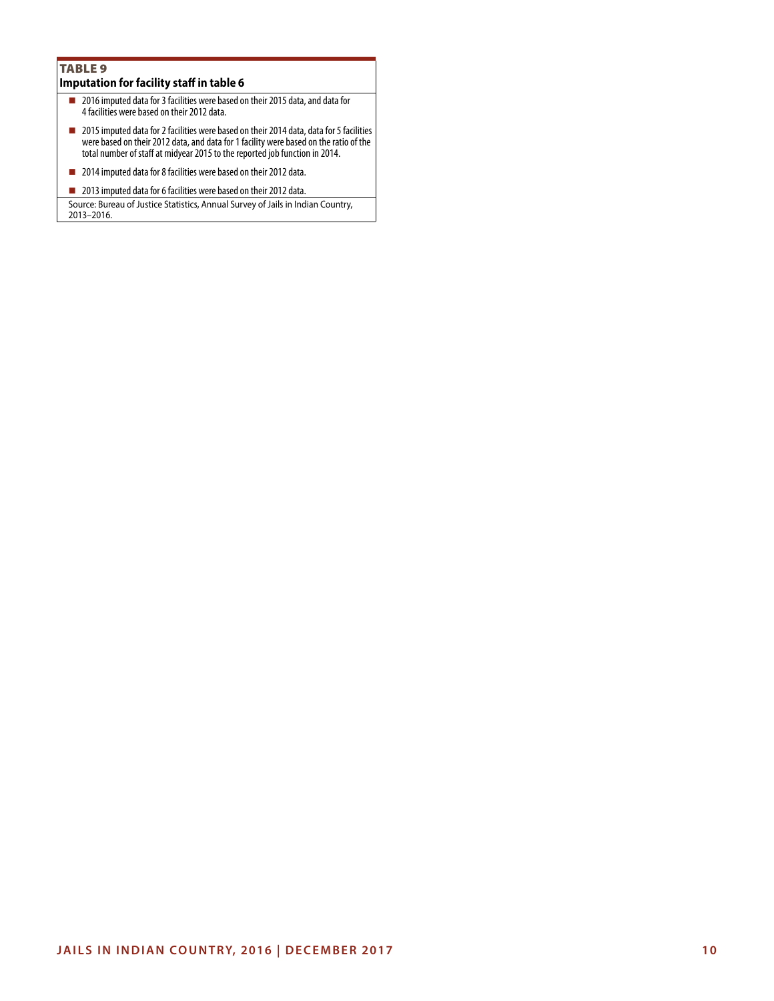# TABLE<sub>9</sub> **Imputation for facility staff in table 6**

- 2016 imputed data for 3 facilities were based on their 2015 data, and data for 4 facilities were based on their 2012 data.
- 2015 imputed data for 2 facilities were based on their 2014 data, data for 5 facilities were based on their 2012 data, and data for 1 facility were based on the ratio of the total number of staff at midyear 2015 to the reported job function in 2014.
- 2014 imputed data for 8 facilities were based on their 2012 data.
- 2013 imputed data for 6 facilities were based on their 2012 data.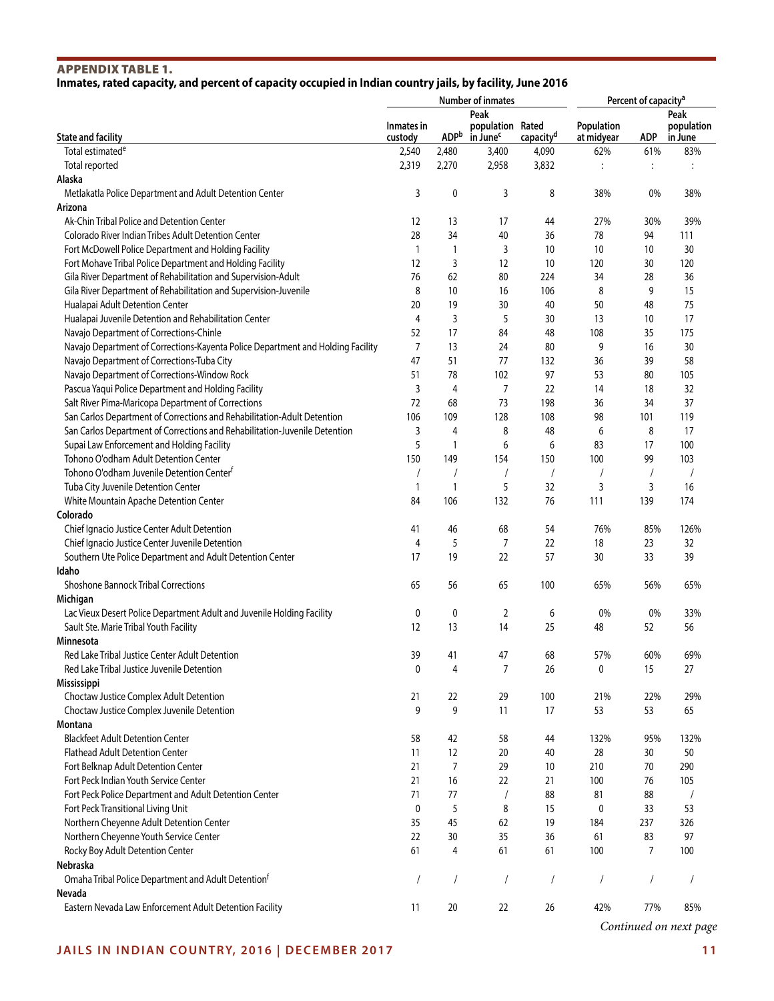# APPENDIX TABLE 1. **Inmates, rated capacity, and percent of capacity occupied in Indian country jails, by facility, June 2016**

|                                                                                            |                |                | Number of inmates    | Percent of capacity <sup>a</sup> |            |                |                |
|--------------------------------------------------------------------------------------------|----------------|----------------|----------------------|----------------------------------|------------|----------------|----------------|
|                                                                                            |                |                | Peak                 |                                  |            |                | Peak           |
|                                                                                            | Inmates in     |                | population Rated     |                                  | Population |                | population     |
| <b>State and facility</b>                                                                  | custody        | <b>ADP</b> b   | in June <sup>c</sup> | capacity <sup>d</sup>            | at midyear | ADP            | in June        |
| Total estimated <sup>e</sup>                                                               | 2,540          | 2,480          | 3,400                | 4,090                            | 62%        | 61%            | 83%            |
| Total reported                                                                             | 2,319          | 2,270          | 2,958                | 3,832                            | $\vdots$   | :              | :              |
| Alaska                                                                                     |                |                |                      |                                  |            |                |                |
| Metlakatla Police Department and Adult Detention Center                                    | 3              | 0              | 3                    | 8                                | 38%        | 0%             | 38%            |
| Arizona                                                                                    |                |                |                      |                                  |            |                |                |
| Ak-Chin Tribal Police and Detention Center                                                 | 12             | 13             | 17                   | 44                               | 27%        | 30%            | 39%            |
| Colorado River Indian Tribes Adult Detention Center                                        | 28             | 34             | 40                   | 36                               | 78         | 94             | 111            |
| Fort McDowell Police Department and Holding Facility                                       | 1              | $\mathbf{1}$   | 3                    | 10                               | 10         | 10             | 30             |
| Fort Mohave Tribal Police Department and Holding Facility                                  | 12             | 3              | 12                   | 10                               | 120        | 30             | 120            |
| Gila River Department of Rehabilitation and Supervision-Adult                              | 76             | 62             | 80                   | 224                              | 34         | 28             | 36             |
| Gila River Department of Rehabilitation and Supervision-Juvenile                           | 8              | 10             | 16                   | 106                              | 8          | 9              | 15             |
| Hualapai Adult Detention Center                                                            | 20             | 19             | 30                   | 40                               | 50         | 48             | 75             |
| Hualapai Juvenile Detention and Rehabilitation Center                                      | 4<br>52        | 3<br>17        | 5                    | 30                               | 13<br>108  | 10<br>35       | 17<br>175      |
| Navajo Department of Corrections-Chinle                                                    | $\overline{7}$ | 13             | 84<br>24             | 48<br>80                         | 9          |                | 30             |
| Navajo Department of Corrections-Kayenta Police Department and Holding Facility            | 47             | 51             | 77                   |                                  | 36         | 16<br>39       | 58             |
| Navajo Department of Corrections-Tuba City<br>Navajo Department of Corrections-Window Rock | 51             | 78             | 102                  | 132<br>97                        | 53         | 80             | 105            |
| Pascua Yaqui Police Department and Holding Facility                                        | 3              | 4              | $\overline{7}$       | 22                               | 14         | 18             | 32             |
| Salt River Pima-Maricopa Department of Corrections                                         | 72             | 68             | 73                   | 198                              | 36         | 34             | 37             |
| San Carlos Department of Corrections and Rehabilitation-Adult Detention                    | 106            | 109            | 128                  | 108                              | 98         | 101            | 119            |
| San Carlos Department of Corrections and Rehabilitation-Juvenile Detention                 | 3              | 4              | 8                    | 48                               | 6          | 8              | 17             |
| Supai Law Enforcement and Holding Facility                                                 | 5              | 1              | 6                    | 6                                | 83         | 17             | 100            |
| Tohono O'odham Adult Detention Center                                                      | 150            | 149            | 154                  | 150                              | 100        | 99             | 103            |
| Tohono O'odham Juvenile Detention Center <sup>f</sup>                                      |                |                | $\overline{1}$       | 1                                |            | $\overline{1}$ | $\overline{1}$ |
| Tuba City Juvenile Detention Center                                                        | 1              | $\mathbf{1}$   | 5                    | 32                               | 3          | 3              | 16             |
| White Mountain Apache Detention Center                                                     | 84             | 106            | 132                  | 76                               | 111        | 139            | 174            |
| Colorado                                                                                   |                |                |                      |                                  |            |                |                |
| Chief Ignacio Justice Center Adult Detention                                               | 41             | 46             | 68                   | 54                               | 76%        | 85%            | 126%           |
| Chief Ignacio Justice Center Juvenile Detention                                            | 4              | 5              | $\overline{7}$       | 22                               | 18         | 23             | 32             |
| Southern Ute Police Department and Adult Detention Center                                  | 17             | 19             | 22                   | 57                               | 30         | 33             | 39             |
| Idaho                                                                                      |                |                |                      |                                  |            |                |                |
| Shoshone Bannock Tribal Corrections                                                        | 65             | 56             | 65                   | 100                              | 65%        | 56%            | 65%            |
| Michigan                                                                                   |                |                |                      |                                  |            |                |                |
| Lac Vieux Desert Police Department Adult and Juvenile Holding Facility                     | 0              | 0              | 2                    | 6                                | 0%         | 0%             | 33%            |
| Sault Ste. Marie Tribal Youth Facility                                                     | 12             | 13             | 14                   | 25                               | 48         | 52             | 56             |
| Minnesota                                                                                  |                |                |                      |                                  |            |                |                |
| Red Lake Tribal Justice Center Adult Detention                                             | 39             | 41             | 47                   | 68                               | 57%        | 60%            | 69%            |
| Red Lake Tribal Justice Juvenile Detention                                                 | 0              | 4              | $\overline{7}$       | 26                               | 0          | 15             | 27             |
| <b>Mississippi</b>                                                                         |                |                |                      |                                  |            |                |                |
| Choctaw Justice Complex Adult Detention                                                    | 21             | 22             | 29                   | 100                              | 21%        | 22%            | 29%            |
| Choctaw Justice Complex Juvenile Detention                                                 | 9              | 9              | 11                   | 17                               | 53         | 53             | 65             |
| Montana                                                                                    |                |                |                      |                                  |            |                |                |
| <b>Blackfeet Adult Detention Center</b>                                                    | 58             | 42             | 58                   | 44                               | 132%       | 95%            | 132%           |
| <b>Flathead Adult Detention Center</b>                                                     | 11             | 12             | 20                   | 40                               | 28         | 30             | 50             |
| Fort Belknap Adult Detention Center                                                        | 21             | $\overline{7}$ | 29                   | 10                               | 210        | 70             | 290            |
| Fort Peck Indian Youth Service Center                                                      | 21             | 16             | 22                   | 21                               | 100        | 76             | 105            |
| Fort Peck Police Department and Adult Detention Center                                     | 71             | 77             | $\prime$             | 88                               | 81         | 88             |                |
| Fort Peck Transitional Living Unit                                                         | 0              | 5              | 8                    | 15                               | 0          | 33             | 53             |
| Northern Cheyenne Adult Detention Center                                                   | 35             | 45             | 62                   | 19                               | 184        | 237            | 326            |
| Northern Cheyenne Youth Service Center                                                     | 22             | 30             | 35                   | 36                               | 61         | 83             | 97             |
| Rocky Boy Adult Detention Center                                                           | 61             | 4              | 61                   | 61                               | 100        | $\overline{7}$ | 100            |
| Nebraska                                                                                   |                |                |                      |                                  |            |                |                |
| Omaha Tribal Police Department and Adult Detention <sup>f</sup>                            | $\prime$       | $\sqrt{2}$     | /                    | $\sqrt{2}$                       |            | 1              | $\overline{1}$ |
| Nevada                                                                                     |                |                |                      |                                  |            |                |                |
| Eastern Nevada Law Enforcement Adult Detention Facility                                    | 11             | 20             | 22                   | 26                               | 42%        | 77%            | 85%            |

*Continued on next page*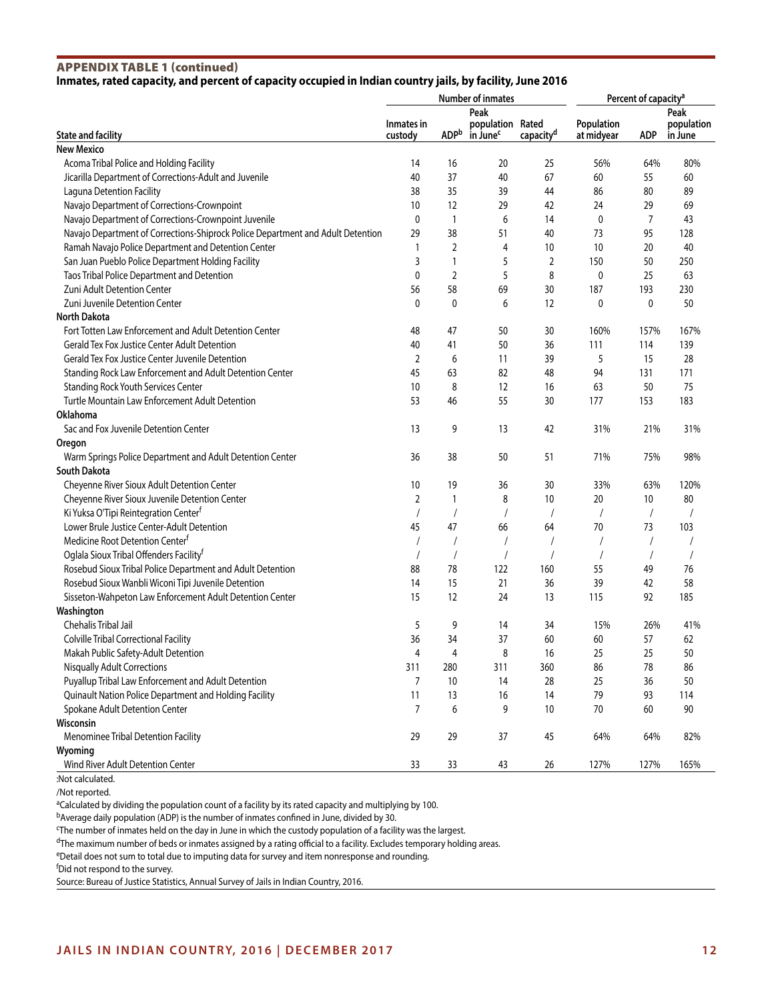# APPENDIX TABLE 1 (continued)

### **Inmates, rated capacity, and percent of capacity occupied in Indian country jails, by facility, June 2016**

|                                                                                 |                |                | <b>Number of inmates</b> | Percent of capacity <sup>a</sup> |             |                |            |
|---------------------------------------------------------------------------------|----------------|----------------|--------------------------|----------------------------------|-------------|----------------|------------|
|                                                                                 |                |                | Peak                     |                                  |             |                | Peak       |
|                                                                                 | Inmates in     |                | population Rated         |                                  | Population  |                | population |
| <b>State and facility</b>                                                       | custody        | <b>ADPb</b>    | in June <sup>c</sup>     | capacity <sup>d</sup>            | at midyear  | <b>ADP</b>     | in June    |
| <b>New Mexico</b>                                                               |                |                |                          |                                  |             |                |            |
| Acoma Tribal Police and Holding Facility                                        | 14             | 16             | 20                       | 25                               | 56%         | 64%            | 80%        |
| Jicarilla Department of Corrections-Adult and Juvenile                          | 40             | 37             | 40                       | 67                               | 60          | 55             | 60         |
| Laguna Detention Facility                                                       | 38             | 35             | 39                       | 44                               | 86          | 80             | 89         |
| Navajo Department of Corrections-Crownpoint                                     | 10             | 12             | 29                       | 42                               | 24          | 29             | 69         |
| Navajo Department of Corrections-Crownpoint Juvenile                            | 0              | $\mathbf{1}$   | 6                        | 14                               | $\mathbf 0$ | $\overline{7}$ | 43         |
| Navajo Department of Corrections-Shiprock Police Department and Adult Detention | 29             | 38             | 51                       | 40                               | 73          | 95             | 128        |
| Ramah Navajo Police Department and Detention Center                             | 1              | $\overline{2}$ | 4                        | 10                               | 10          | 20             | 40         |
| San Juan Pueblo Police Department Holding Facility                              | 3              | 1              | 5                        | $\overline{2}$                   | 150         | 50             | 250        |
| Taos Tribal Police Department and Detention                                     | 0              | $\overline{2}$ | 5                        | 8                                | $\mathbf 0$ | 25             | 63         |
| Zuni Adult Detention Center                                                     | 56             | 58             | 69                       | 30                               | 187         | 193            | 230        |
| Zuni Juvenile Detention Center                                                  | 0              | $\mathbf{0}$   | 6                        | 12                               | $\mathbf 0$ | 0              | 50         |
| <b>North Dakota</b>                                                             |                |                |                          |                                  |             |                |            |
| Fort Totten Law Enforcement and Adult Detention Center                          | 48             | 47             | 50                       | 30                               | 160%        | 157%           | 167%       |
| Gerald Tex Fox Justice Center Adult Detention                                   | 40             | 41             | 50                       | 36                               | 111         | 114            | 139        |
| Gerald Tex Fox Justice Center Juvenile Detention                                | 2              | 6              | 11                       | 39                               | 5           | 15             | 28         |
| Standing Rock Law Enforcement and Adult Detention Center                        | 45             | 63             | 82                       | 48                               | 94          | 131            | 171        |
| <b>Standing Rock Youth Services Center</b>                                      | 10             | 8              | 12                       | 16                               | 63          | 50             | 75         |
| Turtle Mountain Law Enforcement Adult Detention                                 | 53             | 46             | 55                       | 30                               | 177         | 153            | 183        |
| Oklahoma                                                                        |                |                |                          |                                  |             |                |            |
| Sac and Fox Juvenile Detention Center                                           | 13             | 9              | 13                       | 42                               | 31%         | 21%            | 31%        |
| Oregon                                                                          |                |                |                          |                                  |             |                |            |
| Warm Springs Police Department and Adult Detention Center                       | 36             | 38             | 50                       | 51                               | 71%         | 75%            | 98%        |
| <b>South Dakota</b>                                                             |                |                |                          |                                  |             |                |            |
| Cheyenne River Sioux Adult Detention Center                                     | 10             | 19             | 36                       | 30                               | 33%         | 63%            | 120%       |
| Cheyenne River Sioux Juvenile Detention Center                                  | $\overline{2}$ | $\mathbf{1}$   | 8                        | 10                               | 20          | 10             | 80         |
| Ki Yuksa O'Tipi Reintegration Centerf                                           | $\prime$       |                |                          |                                  |             | $\prime$       |            |
| Lower Brule Justice Center-Adult Detention                                      | 45             | 47             | 66                       | 64                               | 70          | 73             | 103        |
| Medicine Root Detention Center <sup>f</sup>                                     |                |                |                          |                                  |             | $\prime$       |            |
| Oglala Sioux Tribal Offenders Facility <sup>f</sup>                             |                |                |                          |                                  |             |                |            |
|                                                                                 |                | 78             | 122                      | 160                              | 55          |                | 76         |
| Rosebud Sioux Tribal Police Department and Adult Detention                      | 88<br>14       | 15             |                          | 36                               | 39          | 49<br>42       | 58         |
| Rosebud Sioux Wanbli Wiconi Tipi Juvenile Detention                             |                |                | 21                       |                                  |             |                |            |
| Sisseton-Wahpeton Law Enforcement Adult Detention Center                        | 15             | 12             | 24                       | 13                               | 115         | 92             | 185        |
| Washington                                                                      |                |                |                          |                                  |             |                |            |
| Chehalis Tribal Jail                                                            | 5              | 9              | 14                       | 34                               | 15%         | 26%            | 41%        |
| Colville Tribal Correctional Facility                                           | 36             | 34             | 37                       | 60                               | 60          | 57             | 62         |
| Makah Public Safety-Adult Detention                                             | 4              | 4              | 8                        | 16                               | 25          | 25             | 50         |
| <b>Nisqually Adult Corrections</b>                                              | 311            | 280            | 311                      | 360                              | 86          | 78             | 86         |
| Puyallup Tribal Law Enforcement and Adult Detention                             | 7              | 10             | 14                       | 28                               | 25          | 36             | 50         |
| Quinault Nation Police Department and Holding Facility                          | 11             | 13             | 16                       | 14                               | 79          | 93             | 114        |
| Spokane Adult Detention Center                                                  | 7              | 6              | 9                        | 10                               | 70          | 60             | 90         |
| Wisconsin                                                                       |                |                |                          |                                  |             |                |            |
| Menominee Tribal Detention Facility                                             | 29             | 29             | 37                       | 45                               | 64%         | 64%            | 82%        |
| Wyoming                                                                         |                |                |                          |                                  |             |                |            |
| Wind River Adult Detention Center                                               | 33             | 33             | 43                       | 26                               | 127%        | 127%           | 165%       |

:Not calculated.

/Not reported.

<sup>a</sup>Calculated by dividing the population count of a facility by its rated capacity and multiplying by 100.

b Average daily population (ADP) is the number of inmates confined in June, divided by 30.

c The number of inmates held on the day in June in which the custody population of a facility was the largest.

dThe maximum number of beds or inmates assigned by a rating official to a facility. Excludes temporary holding areas.

eDetail does not sum to total due to imputing data for survey and item nonresponse and rounding.

f Did not respond to the survey.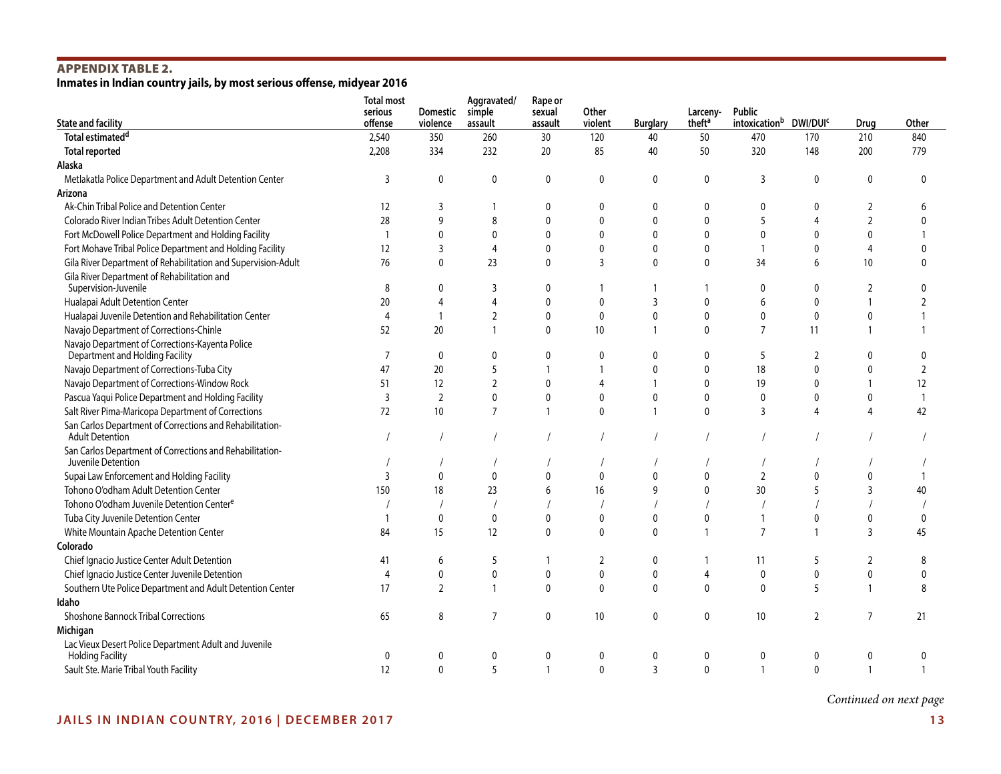# APPENDIX TABLE 2.

**Inmates in Indian country jails, by most serious offense, midyear 2016**

| <b>State and facility</b>                                                          | <b>Total most</b><br>serious<br>offense | <b>Domestic</b><br>violence | Aggravated/<br>simple<br>assault | Rape or<br>sexual<br>assault | Other<br>violent | <b>Burglary</b> | Larceny-<br>theft <sup>a</sup> | Public<br>intoxication <sup>b</sup> DWI/DUI <sup>c</sup> |                | Drug           | Other          |
|------------------------------------------------------------------------------------|-----------------------------------------|-----------------------------|----------------------------------|------------------------------|------------------|-----------------|--------------------------------|----------------------------------------------------------|----------------|----------------|----------------|
| Total estimated <sup>d</sup>                                                       | 2,540                                   | 350                         | 260                              | 30                           | 120              | 40              | 50                             | 470                                                      | 170            | 210            | 840            |
| <b>Total reported</b>                                                              | 2,208                                   | 334                         | 232                              | 20                           | 85               | 40              | 50                             | 320                                                      | 148            | 200            | 779            |
| Alaska                                                                             |                                         |                             |                                  |                              |                  |                 |                                |                                                          |                |                |                |
| Metlakatla Police Department and Adult Detention Center                            | 3                                       | $\mathbf 0$                 | $\mathbf 0$                      | 0                            | $\Omega$         | 0               | $\mathbf 0$                    | 3                                                        | $\mathbf{0}$   | $\mathbf 0$    | $\mathbf 0$    |
| Arizona                                                                            |                                         |                             |                                  |                              |                  |                 |                                |                                                          |                |                |                |
| Ak-Chin Tribal Police and Detention Center                                         | 12                                      | 3                           |                                  | $\Omega$                     | $\Omega$         | 0               | 0                              | $\Omega$                                                 | $\Omega$       | $\overline{2}$ | 6              |
| Colorado River Indian Tribes Adult Detention Center                                | 28                                      | 9                           | 8                                | 0                            | $\mathbf{0}$     | 0               | $\mathbf 0$                    | 5                                                        | 4              | $\overline{2}$ | $\Omega$       |
| Fort McDowell Police Department and Holding Facility                               |                                         | $\pmb{0}$                   | $\mathbf{0}$                     | 0                            | $\mathbf{0}$     | 0               | $\mathbf 0$                    | $\mathbf 0$                                              | $\mathbf 0$    | 0              |                |
| Fort Mohave Tribal Police Department and Holding Facility                          | 12                                      | 3                           | 4                                | $\mathbf{0}$                 | $\mathbf{0}$     | 0               | $\mathbf 0$                    | $\mathbf{1}$                                             | $\Omega$       | $\overline{4}$ | $\Omega$       |
| Gila River Department of Rehabilitation and Supervision-Adult                      | 76                                      | 0                           | 23                               | $\mathbf{0}$                 | 3                | 0               | $\mathbf 0$                    | 34                                                       | 6              | 10             | $\Omega$       |
| Gila River Department of Rehabilitation and<br>Supervision-Juvenile                | 8                                       | $\mathbf{0}$                | 3                                | $\mathbf{0}$                 |                  |                 | $\mathbf{1}$                   | $\mathbf{0}$                                             | $\mathbf{0}$   | $\overline{2}$ | $\Omega$       |
| Hualapai Adult Detention Center                                                    | 20                                      | 4                           | $\overline{4}$                   | 0                            | $\mathbf{0}$     | 3               | $\mathbf 0$                    | 6                                                        | $\mathbf{0}$   | $\mathbf{1}$   | $\overline{2}$ |
| Hualapai Juvenile Detention and Rehabilitation Center                              | $\overline{4}$                          | $\overline{1}$              | $\overline{2}$                   | $\mathbf{0}$                 | $\mathbf{0}$     | $\mathbf{0}$    | $\mathbf 0$                    | $\mathbf{0}$                                             | $\mathbf{0}$   | $\mathbf{0}$   |                |
| Navajo Department of Corrections-Chinle                                            | 52                                      | 20                          |                                  | $\mathbf{0}$                 | 10               |                 | $\mathbf{0}$                   | $\overline{7}$                                           | 11             |                |                |
| Navajo Department of Corrections-Kayenta Police<br>Department and Holding Facility | 7                                       | 0                           | 0                                | 0                            | 0                | 0               | 0                              | 5                                                        | 2              | 0              | 0              |
| Navajo Department of Corrections-Tuba City                                         | 47                                      | 20                          | 5                                |                              |                  | 0               | $\mathbf 0$                    | 18                                                       | $\Omega$       | $\mathbf 0$    | $\overline{2}$ |
| Navajo Department of Corrections-Window Rock                                       | 51                                      | 12                          | $\overline{2}$                   | 0                            | 4                |                 | $\mathbf 0$                    | 19                                                       | $\mathbf{0}$   | $\mathbf{1}$   | 12             |
| Pascua Yaqui Police Department and Holding Facility                                | $\overline{3}$                          | $\overline{2}$              | 0                                | 0                            | $\mathbf{0}$     | 0               | $\pmb{0}$                      | $\pmb{0}$                                                | $\mathbf{0}$   | 0              | $\mathbf{1}$   |
| Salt River Pima-Maricopa Department of Corrections                                 | 72                                      | 10                          | $\overline{7}$                   |                              | $\Omega$         | $\mathbf{1}$    | $\mathbf 0$                    | $\overline{3}$                                           | 4              | $\overline{4}$ | 42             |
| San Carlos Department of Corrections and Rehabilitation-                           |                                         |                             |                                  |                              |                  |                 |                                |                                                          |                |                |                |
| <b>Adult Detention</b>                                                             |                                         |                             |                                  |                              |                  |                 |                                |                                                          |                |                |                |
| San Carlos Department of Corrections and Rehabilitation-                           |                                         |                             |                                  |                              |                  |                 |                                |                                                          |                |                |                |
| Juvenile Detention                                                                 |                                         |                             |                                  |                              |                  |                 |                                |                                                          |                |                |                |
| Supai Law Enforcement and Holding Facility                                         | 3                                       | 0                           | $\mathbf{0}$                     | $\mathbf{0}$                 | $\Omega$         | $\Omega$        | $\mathbf 0$                    | $\overline{2}$                                           | $\mathbf{0}$   | $\Omega$       |                |
| Tohono O'odham Adult Detention Center                                              | 150                                     | 18                          | 23                               | 6                            | 16               | 9               | $\mathbf 0$                    | 30                                                       |                | 3              | 40             |
| Tohono O'odham Juvenile Detention Centere                                          |                                         |                             |                                  |                              |                  |                 |                                |                                                          |                |                |                |
| Tuba City Juvenile Detention Center                                                |                                         | 0                           | $\mathbf 0$                      | $\Omega$                     | $\mathbf{0}$     | 0               | 0                              |                                                          | $\mathbf{0}$   | $\mathbf{0}$   | $\mathbf 0$    |
| White Mountain Apache Detention Center                                             | 84                                      | 15                          | 12                               | $\Omega$                     | $\Omega$         | $\mathbf{0}$    | $\overline{1}$                 | $\overline{7}$                                           |                | $\overline{3}$ | 45             |
| Colorado                                                                           |                                         |                             |                                  |                              |                  |                 |                                |                                                          |                |                |                |
| Chief Ignacio Justice Center Adult Detention                                       | 41                                      | 6                           | 5                                |                              | $\overline{2}$   | 0               |                                | 11                                                       | 5              | 2              | 8              |
| Chief Ignacio Justice Center Juvenile Detention                                    | 4                                       | $\pmb{0}$                   | 0                                | 0                            | $\mathbf 0$      | 0               | $\overline{4}$                 | $\mathbf 0$                                              | $\mathbf{0}$   | $\pmb{0}$      | $\mathbf{0}$   |
| Southern Ute Police Department and Adult Detention Center                          | 17                                      | 2                           |                                  | $\mathbf{0}$                 | 0                | 0               | $\mathbf 0$                    | $\mathbf{0}$                                             | 5              | $\mathbf{1}$   | 8              |
| Idaho                                                                              |                                         |                             |                                  |                              |                  |                 |                                |                                                          |                |                |                |
| <b>Shoshone Bannock Tribal Corrections</b>                                         | 65                                      | 8                           | 7                                | 0                            | 10               | 0               | $\mathbf 0$                    | 10                                                       | $\overline{2}$ | 7              | 21             |
| Michigan                                                                           |                                         |                             |                                  |                              |                  |                 |                                |                                                          |                |                |                |
| Lac Vieux Desert Police Department Adult and Juvenile<br><b>Holding Facility</b>   | $\Omega$                                |                             | 0                                | $\mathbf{0}$                 | 0                | 0               | $\mathbf{0}$                   | $\mathbf{0}$                                             | 0              | 0              | 0              |
| Sault Ste. Marie Tribal Youth Facility                                             | 12                                      | $\Omega$                    |                                  |                              | $\Omega$         | 3               | $\Omega$                       | -1                                                       | $\Omega$       | $\mathbf{1}$   |                |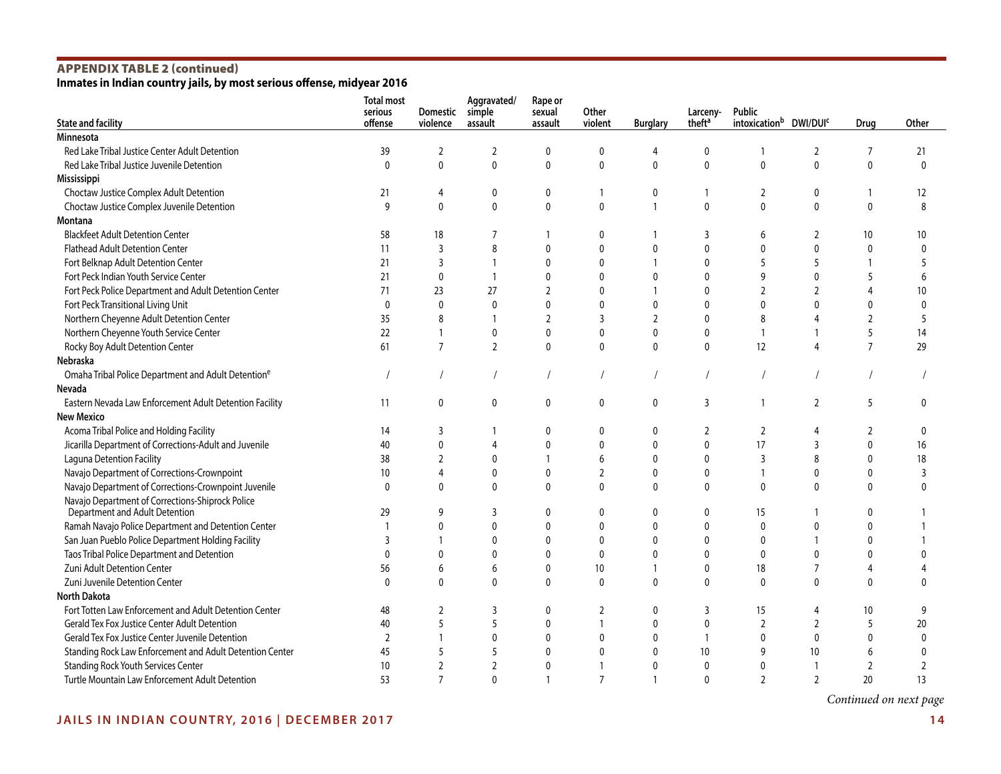# APPENDIX TABLE 2 (continued)

**Inmates in Indian country jails, by most serious offense, midyear 2016**

| <b>State and facility</b>                                                          | <b>Total most</b><br>serious<br>offense | Domestic<br>violence | Aggravated/<br>simple<br>assault | Rape or<br>sexual<br>assault | Other<br>violent | <b>Burglary</b> | Larceny-<br>theft <sup>a</sup> | Public<br>intoxication <sup>b</sup> DWI/DUI <sup>c</sup> |                | Drug           | Other          |
|------------------------------------------------------------------------------------|-----------------------------------------|----------------------|----------------------------------|------------------------------|------------------|-----------------|--------------------------------|----------------------------------------------------------|----------------|----------------|----------------|
| Minnesota                                                                          |                                         |                      |                                  |                              |                  |                 |                                |                                                          |                |                |                |
| Red Lake Tribal Justice Center Adult Detention                                     | 39                                      | $\overline{2}$       | $\overline{2}$                   | 0                            | 0                | 4               | 0                              | 1                                                        | 2              | 7              | 21             |
| Red Lake Tribal Justice Juvenile Detention                                         | $\mathbf{0}$                            | $\mathbf 0$          | 0                                | $\mathbf 0$                  | 0                | $\mathbf 0$     | $\mathbf{0}$                   | 0                                                        | $\mathbf 0$    | $\mathbf{0}$   | $\mathbf{0}$   |
| Mississippi                                                                        |                                         |                      |                                  |                              |                  |                 |                                |                                                          |                |                |                |
| Choctaw Justice Complex Adult Detention                                            | 21                                      | 4                    | 0                                | 0                            | 1                | 0               |                                | 2                                                        | 0              | $\mathbf{1}$   | 12             |
| Choctaw Justice Complex Juvenile Detention                                         | 9                                       | $\pmb{0}$            | $\mathbf 0$                      | $\pmb{0}$                    | 0                | $\overline{1}$  | $\mathbf 0$                    | 0                                                        | 0              | 0              | 8              |
| Montana                                                                            |                                         |                      |                                  |                              |                  |                 |                                |                                                          |                |                |                |
| <b>Blackfeet Adult Detention Center</b>                                            | 58                                      | 18                   | 7                                | $\mathbf{1}$                 | 0                |                 | 3                              | 6                                                        | $\overline{2}$ | 10             | 10             |
| Flathead Adult Detention Center                                                    | 11                                      | 3                    | 8                                | $\mathbf 0$                  | 0                | 0               | $\mathbf{0}$                   | 0                                                        | $\mathbf{0}$   | 0              | $\mathbf{0}$   |
| Fort Belknap Adult Detention Center                                                | 21                                      | 3                    | $\mathbf{1}$                     | 0                            | 0                |                 | $\mathbf{0}$                   | 5                                                        | 5              | $\mathbf{1}$   | 5              |
| Fort Peck Indian Youth Service Center                                              | 21                                      | $\pmb{0}$            | $\mathbf{1}$                     | 0                            | $\mathbf 0$      | $\mathbf 0$     | $\mathbf{0}$                   | 9                                                        | $\mathbf 0$    | 5              | 6              |
| Fort Peck Police Department and Adult Detention Center                             | 71                                      | 23                   | 27                               | $\overline{2}$               | $\mathbf{0}$     |                 | $\mathbf{0}$                   | $\overline{2}$                                           | $\overline{2}$ | 4              | 10             |
| Fort Peck Transitional Living Unit                                                 | $\mathbf 0$                             | $\mathbf 0$          | $\mathbf{0}$                     | $\mathbf 0$                  | $\mathbf{0}$     | $\mathbf{0}$    | $\Omega$                       | $\mathbf 0$                                              | $\mathbf{0}$   | $\mathbf{0}$   | $\mathbf{0}$   |
| Northern Cheyenne Adult Detention Center                                           | 35                                      | 8                    |                                  | $\overline{2}$               | $\overline{3}$   | $\overline{2}$  | $\mathbf{0}$                   | 8                                                        | 4              | $\overline{2}$ | 5              |
| Northern Cheyenne Youth Service Center                                             | 22                                      | $\mathbf{1}$         | 0                                | 0                            | 0                | $\mathbf 0$     | $\mathbf{0}$                   | $\overline{1}$                                           | $\mathbf{1}$   | 5              | 14             |
| Rocky Boy Adult Detention Center                                                   | 61                                      | $\overline{7}$       | $\overline{2}$                   | 0                            | $\mathbf{0}$     | $\mathbf 0$     | $\mathbf{0}$                   | 12                                                       | 4              | $\overline{7}$ | 29             |
| Nebraska                                                                           |                                         |                      |                                  |                              |                  |                 |                                |                                                          |                |                |                |
| Omaha Tribal Police Department and Adult Detentione                                |                                         |                      |                                  |                              |                  |                 |                                |                                                          |                |                |                |
| Nevada                                                                             |                                         |                      |                                  |                              |                  |                 |                                |                                                          |                |                |                |
| Eastern Nevada Law Enforcement Adult Detention Facility                            | 11                                      | $\mathbf 0$          | 0                                | 0                            | 0                | 0               | 3                              | 1                                                        | $\overline{2}$ | 5              | $\mathbf{0}$   |
| <b>New Mexico</b>                                                                  |                                         |                      |                                  |                              |                  |                 |                                |                                                          |                |                |                |
| Acoma Tribal Police and Holding Facility                                           | 14                                      | 3                    |                                  | 0                            | 0                | $\mathbf 0$     | $\overline{2}$                 | 2                                                        | $\overline{4}$ | $\overline{2}$ | 0              |
| Jicarilla Department of Corrections-Adult and Juvenile                             | 40                                      | 0                    | $\overline{4}$                   | 0                            | 0                | 0               | $\mathbf{0}$                   | 17                                                       | 3              | 0              | 16             |
| Laguna Detention Facility                                                          | 38                                      | $\overline{2}$       | $\overline{0}$                   | $\mathbf{1}$                 | 6                | $\mathbf 0$     | $\mathbf{0}$                   | 3                                                        | 8              | 0              | 18             |
| Navajo Department of Corrections-Crownpoint                                        | 10                                      | 4                    | $\mathbf 0$                      | 0                            | $\overline{2}$   | 0               | 0                              | $\mathbf{1}$                                             | 0              | 0              | 3              |
| Navajo Department of Corrections-Crownpoint Juvenile                               | $\mathbf{0}$                            | $\mathbf 0$          | $\mathbf{0}$                     | $\mathbf{0}$                 | $\mathbf{0}$     | $\mathbf{0}$    | $\Omega$                       | 0                                                        | $\mathbf{0}$   | $\mathbf{0}$   | $\Omega$       |
| Navajo Department of Corrections-Shiprock Police<br>Department and Adult Detention | 29                                      | 9                    | 3                                | 0                            | 0                | 0               | 0                              | 15                                                       |                | $\mathbf{0}$   |                |
| Ramah Navajo Police Department and Detention Center                                |                                         | $\mathbf{0}$         | $\mathbf 0$                      | 0                            | 0                | 0               | $\mathbf{0}$                   | 0                                                        | 0              | $\Omega$       |                |
| San Juan Pueblo Police Department Holding Facility                                 | 3                                       | 1                    | $\Omega$                         | $\Omega$                     | $\mathbf{0}$     | $\Omega$        | $\Omega$                       | $\Omega$                                                 | 1              | $\Omega$       |                |
| Taos Tribal Police Department and Detention                                        | $\Omega$                                | $\pmb{0}$            | $\mathbf 0$                      | 0                            | 0                | 0               | 0                              | 0                                                        | 0              | 0              | $\Omega$       |
| Zuni Adult Detention Center                                                        | 56                                      | 6                    | 6                                | 0                            | 10               | $\mathbf{1}$    | $\pmb{0}$                      | 18                                                       | 7              | 4              |                |
| Zuni Juvenile Detention Center                                                     | $\mathbf 0$                             | $\mathbf 0$          | $\mathbf 0$                      | 0                            | $\mathbf 0$      | $\mathbf 0$     | $\mathbf{0}$                   | 0                                                        | $\mathbf 0$    | $\mathbf 0$    | $\Omega$       |
| <b>North Dakota</b>                                                                |                                         |                      |                                  |                              |                  |                 |                                |                                                          |                |                |                |
| Fort Totten Law Enforcement and Adult Detention Center                             | 48                                      | $\overline{2}$       | 3                                | 0                            | $\overline{2}$   | 0               | 3                              | 15                                                       | 4              | 10             | 9              |
| Gerald Tex Fox Justice Center Adult Detention                                      | 40                                      | 5                    | 5                                | 0                            | $\overline{1}$   | 0               | 0                              | $\overline{2}$                                           | $\overline{2}$ | 5              | 20             |
| Gerald Tex Fox Justice Center Juvenile Detention                                   | $\overline{2}$                          |                      | $\Omega$                         | $\mathbf 0$                  | $\mathbf{0}$     | $\Omega$        | $\overline{1}$                 | 0                                                        | $\mathbf{0}$   | $\mathbf{0}$   | $\mathbf{0}$   |
| Standing Rock Law Enforcement and Adult Detention Center                           | 45                                      | 5                    | 5                                | 0                            | $\Omega$         | 0               | 10                             | 9                                                        | 10             | 6              | $\Omega$       |
| <b>Standing Rock Youth Services Center</b>                                         | 10                                      | $\mathfrak{p}$       | $\overline{2}$                   | $\Omega$                     |                  | $\Omega$        | $\Omega$                       | $\Omega$                                                 |                | $\overline{2}$ | $\overline{2}$ |
| Turtle Mountain Law Enforcement Adult Detention                                    | 53                                      | $\overline{7}$       | $\Omega$                         |                              | $\overline{7}$   |                 | $\Omega$                       | $\mathfrak{p}$                                           | $\mathcal{P}$  | 20             | 13             |

*Continued on next page*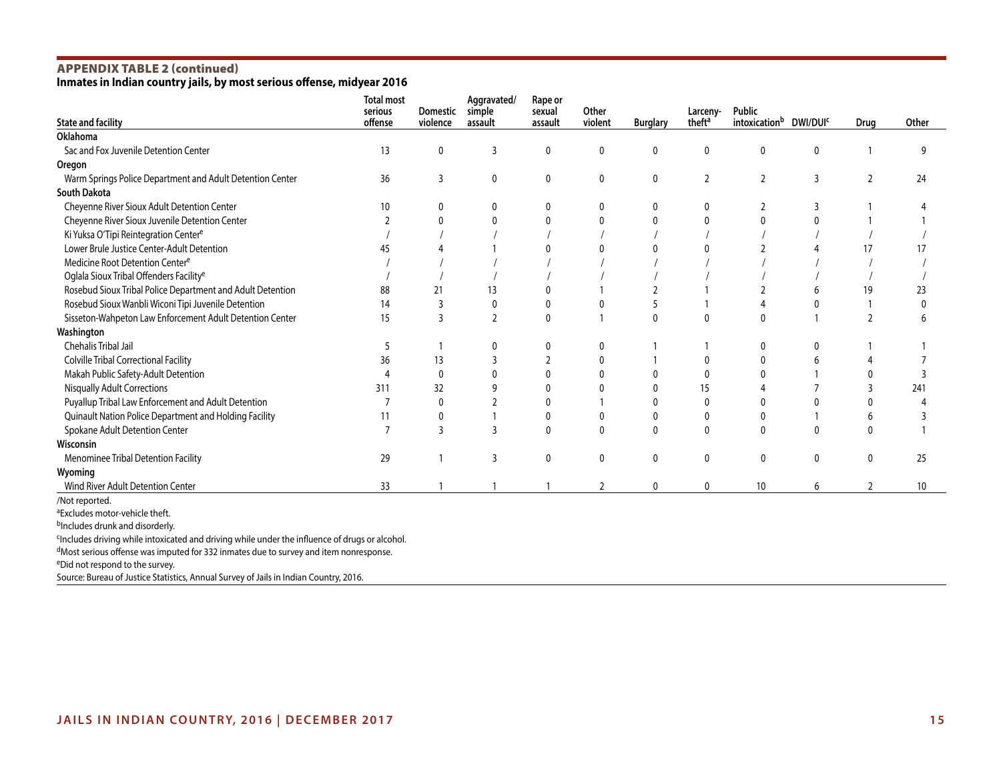# APPENDIX TABLE 2 (continued)

**Inmates in Indian country jails, by most serious offense, midyear 2016**

| <b>State and facility</b>                                  | <b>Total most</b><br>serious<br>offense | <b>Domestic</b><br>violence | Aggravated/<br>simple<br>assault | Rape or<br>sexual<br>assault | Other<br>violent | <b>Burglary</b> | Larceny-<br>theft <sup>a</sup> | Public<br>intoxicationb | DWI/DUI <sup>c</sup> | Drug           | Other |
|------------------------------------------------------------|-----------------------------------------|-----------------------------|----------------------------------|------------------------------|------------------|-----------------|--------------------------------|-------------------------|----------------------|----------------|-------|
| <b>Oklahoma</b>                                            |                                         |                             |                                  |                              |                  |                 |                                |                         |                      |                |       |
| Sac and Fox Juvenile Detention Center                      | 13                                      | 0                           | 3                                | $\mathbf 0$                  | 0                | 0               | $\mathbf 0$                    | $\mathbf{0}$            | 0                    |                | q     |
| Oregon                                                     |                                         |                             |                                  |                              |                  |                 |                                |                         |                      |                |       |
| Warm Springs Police Department and Adult Detention Center  | 36                                      | 3                           | 0                                | 0                            | 0                | 0               | $\overline{2}$                 | $\overline{2}$          | 3                    | 2              | 24    |
| <b>South Dakota</b>                                        |                                         |                             |                                  |                              |                  |                 |                                |                         |                      |                |       |
| Cheyenne River Sioux Adult Detention Center                | 10                                      | 0                           |                                  | 0                            | 0                |                 | 0                              | 2                       |                      |                |       |
| Cheyenne River Sioux Juvenile Detention Center             |                                         |                             |                                  |                              |                  |                 | $\Omega$                       |                         |                      |                |       |
| Ki Yuksa O'Tipi Reintegration Center <sup>e</sup>          |                                         |                             |                                  |                              |                  |                 |                                |                         |                      |                |       |
| Lower Brule Justice Center-Adult Detention                 | 45                                      |                             |                                  |                              |                  |                 |                                |                         |                      | 17             | 17    |
| Medicine Root Detention Center <sup>e</sup>                |                                         |                             |                                  |                              |                  |                 |                                |                         |                      |                |       |
| Oglala Sioux Tribal Offenders Facility <sup>e</sup>        |                                         |                             |                                  |                              |                  |                 |                                |                         |                      |                |       |
| Rosebud Sioux Tribal Police Department and Adult Detention | 88                                      | 21                          | 13                               |                              |                  |                 |                                |                         |                      | 19             | 23    |
| Rosebud Sioux Wanbli Wiconi Tipi Juvenile Detention        | 14                                      | 3                           |                                  |                              |                  |                 |                                |                         |                      |                |       |
| Sisseton-Wahpeton Law Enforcement Adult Detention Center   | 15                                      | 3                           | $\mathfrak{p}$                   | $\Omega$                     |                  |                 | $\Omega$                       | $\Omega$                |                      |                |       |
| Washington                                                 |                                         |                             |                                  |                              |                  |                 |                                |                         |                      |                |       |
| Chehalis Tribal Jail                                       |                                         |                             |                                  |                              |                  |                 |                                |                         |                      |                |       |
| <b>Colville Tribal Correctional Facility</b>               | 36                                      | 13                          |                                  |                              |                  |                 | 0                              |                         |                      |                |       |
| Makah Public Safety-Adult Detention                        |                                         | $\Omega$                    |                                  |                              |                  |                 |                                |                         |                      |                |       |
| <b>Nisqually Adult Corrections</b>                         | 311                                     | 32                          |                                  |                              |                  |                 | 15                             |                         |                      |                | 241   |
| Puyallup Tribal Law Enforcement and Adult Detention        |                                         | $\Omega$                    |                                  |                              |                  |                 | $\mathbf 0$                    |                         |                      |                |       |
| Quinault Nation Police Department and Holding Facility     | 11                                      | 0                           |                                  |                              |                  |                 | 0                              |                         |                      |                |       |
| Spokane Adult Detention Center                             | $\overline{7}$                          | 3                           |                                  | $\Omega$                     | $\Omega$         | $\Omega$        | $\mathbf{0}$                   | $\Omega$                | $\Omega$             |                |       |
| Wisconsin                                                  |                                         |                             |                                  |                              |                  |                 |                                |                         |                      |                |       |
| Menominee Tribal Detention Facility                        | 29                                      |                             | 3                                | $\mathbf{0}$                 | $\mathbf{0}$     | 0               | $\mathbf{0}$                   | $\mathbf{0}$            | $\Omega$             | $\mathbf{0}$   | 25    |
| Wyoming                                                    |                                         |                             |                                  |                              |                  |                 |                                |                         |                      |                |       |
| Wind River Adult Detention Center                          | 33                                      |                             |                                  |                              | $\overline{2}$   | $\mathbf 0$     | $\mathbf 0$                    | 10                      | 6                    | $\overline{2}$ | 10    |
| /Not reported.                                             |                                         |                             |                                  |                              |                  |                 |                                |                         |                      |                |       |
| <sup>a</sup> Excludes motor-vehicle theft.                 |                                         |                             |                                  |                              |                  |                 |                                |                         |                      |                |       |
| blncludes drunk and disorderly.                            |                                         |                             |                                  |                              |                  |                 |                                |                         |                      |                |       |

<sup>c</sup>Includes driving while intoxicated and driving while under the influence of drugs or alcohol.

dMost serious offense was imputed for 332 inmates due to survey and item nonresponse.

eDid not respond to the survey.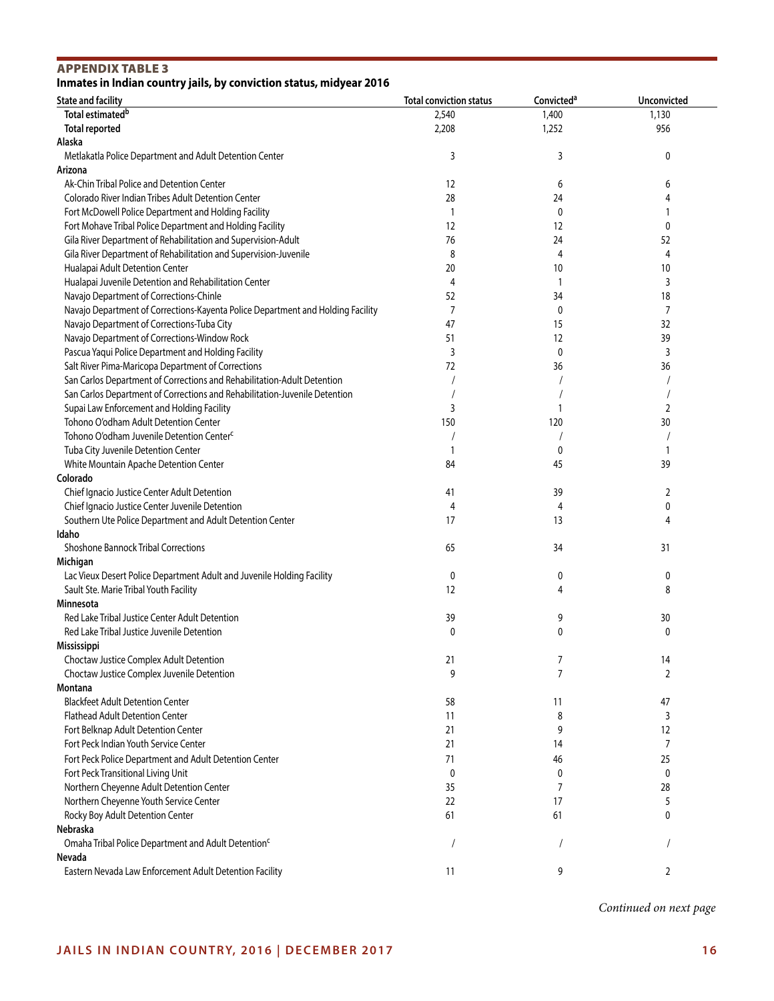# APPENDIX TABLE 3

# **Inmates in Indian country jails, by conviction status, midyear 2016**

| <b>State and facility</b>                                                       | <b>Total conviction status</b> | Convicted <sup>a</sup> | Unconvicted |
|---------------------------------------------------------------------------------|--------------------------------|------------------------|-------------|
| Total estimated <sup>b</sup>                                                    | 2,540                          | 1,400                  | 1,130       |
| <b>Total reported</b>                                                           | 2,208                          | 1,252                  | 956         |
| Alaska                                                                          |                                |                        |             |
| Metlakatla Police Department and Adult Detention Center                         | 3                              | 3                      | 0           |
| Arizona                                                                         |                                |                        |             |
| Ak-Chin Tribal Police and Detention Center                                      | 12                             | 6                      | 6           |
| Colorado River Indian Tribes Adult Detention Center                             | 28                             | 24                     | 4           |
| Fort McDowell Police Department and Holding Facility                            | $\mathbf{1}$                   | $\mathbf 0$            |             |
| Fort Mohave Tribal Police Department and Holding Facility                       | 12                             | 12                     | 0           |
| Gila River Department of Rehabilitation and Supervision-Adult                   | 76                             | 24                     | 52          |
| Gila River Department of Rehabilitation and Supervision-Juvenile                | 8                              | 4                      | 4           |
| Hualapai Adult Detention Center                                                 | 20                             | 10                     | 10          |
| Hualapai Juvenile Detention and Rehabilitation Center                           | 4                              | 1                      | 3           |
| Navajo Department of Corrections-Chinle                                         | 52                             | 34                     | 18          |
| Navajo Department of Corrections-Kayenta Police Department and Holding Facility | 7                              | $\mathbf 0$            | 7           |
| Navajo Department of Corrections-Tuba City                                      | 47                             | 15                     | 32          |
| Navajo Department of Corrections-Window Rock                                    | 51                             | 12                     | 39          |
| Pascua Yaqui Police Department and Holding Facility                             | 3                              | 0                      | 3           |
| Salt River Pima-Maricopa Department of Corrections                              | 72                             | 36                     | 36          |
| San Carlos Department of Corrections and Rehabilitation-Adult Detention         |                                |                        |             |
| San Carlos Department of Corrections and Rehabilitation-Juvenile Detention      |                                |                        |             |
| Supai Law Enforcement and Holding Facility                                      | 3                              |                        | 2           |
| Tohono O'odham Adult Detention Center                                           | 150                            | 120                    | 30          |
| Tohono O'odham Juvenile Detention Center <sup>c</sup>                           |                                |                        |             |
| Tuba City Juvenile Detention Center                                             | 1                              | 0                      |             |
| White Mountain Apache Detention Center                                          | 84                             | 45                     | 39          |
| Colorado                                                                        |                                |                        |             |
| Chief Ignacio Justice Center Adult Detention                                    | 41                             | 39                     | 2           |
| Chief Ignacio Justice Center Juvenile Detention                                 | 4                              | 4                      | 0           |
| Southern Ute Police Department and Adult Detention Center                       | 17                             | 13                     | 4           |
| Idaho                                                                           |                                |                        |             |
| <b>Shoshone Bannock Tribal Corrections</b>                                      | 65                             | 34                     | 31          |
| Michigan                                                                        |                                |                        |             |
| Lac Vieux Desert Police Department Adult and Juvenile Holding Facility          | 0                              | 0                      | 0           |
| Sault Ste. Marie Tribal Youth Facility                                          | 12                             | 4                      | 8           |
| Minnesota                                                                       |                                |                        |             |
| Red Lake Tribal Justice Center Adult Detention                                  | 39                             | 9                      | 30          |
| Red Lake Tribal Justice Juvenile Detention                                      | 0                              | 0                      | 0           |
| Mississippi                                                                     |                                |                        |             |
| Choctaw Justice Complex Adult Detention                                         | 21                             | 7                      | 14          |
| Choctaw Justice Complex Juvenile Detention                                      | 9                              | 7                      | 2           |
| Montana                                                                         |                                |                        |             |
| <b>Blackfeet Adult Detention Center</b>                                         | 58                             | 11                     | 47          |
| <b>Flathead Adult Detention Center</b>                                          | 11                             | 8                      | 3           |
| Fort Belknap Adult Detention Center                                             | 21                             | 9                      | 12          |
| Fort Peck Indian Youth Service Center                                           | 21                             | 14                     | 7           |
| Fort Peck Police Department and Adult Detention Center                          | 71                             | 46                     | 25          |
| Fort Peck Transitional Living Unit                                              | 0                              | 0                      | 0           |
| Northern Cheyenne Adult Detention Center                                        | 35                             | 7                      | 28          |
| Northern Cheyenne Youth Service Center                                          | 22                             | 17                     | 5           |
| Rocky Boy Adult Detention Center                                                | 61                             | 61                     | 0           |
| Nebraska                                                                        |                                |                        |             |
| Omaha Tribal Police Department and Adult Detention <sup>c</sup>                 |                                |                        |             |
| Nevada                                                                          |                                |                        |             |
| Eastern Nevada Law Enforcement Adult Detention Facility                         | 11                             | 9                      | 2           |
|                                                                                 |                                |                        |             |

*Continued on next page*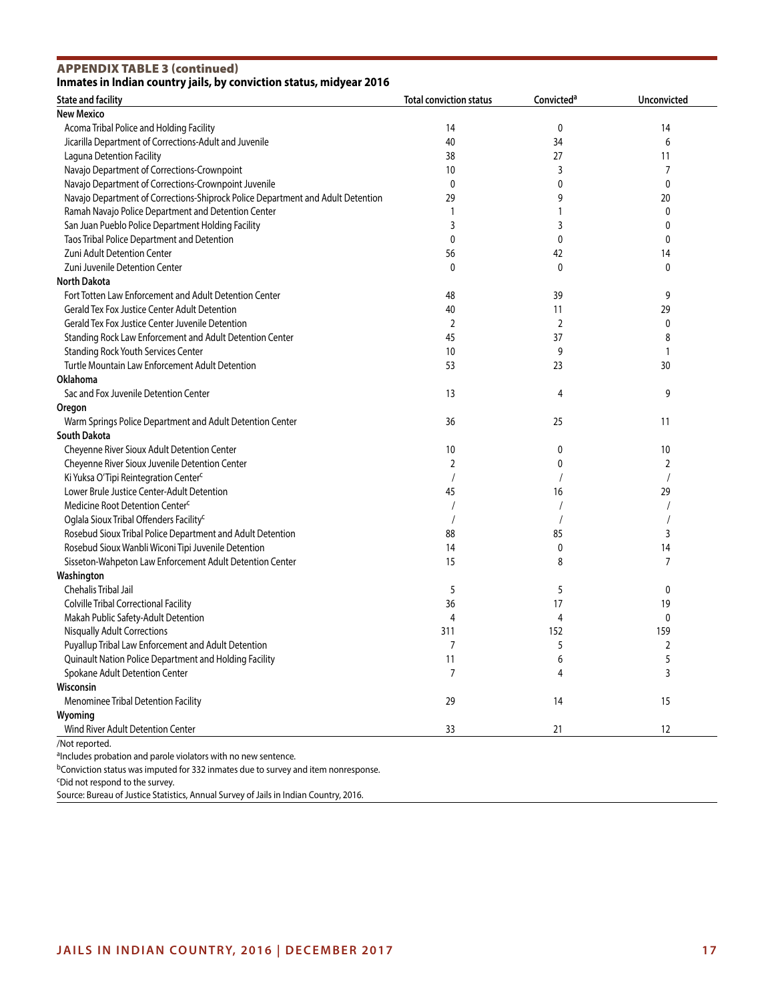APPENDIX TABLE 3 (continued)

# **Inmates in Indian country jails, by conviction status, midyear 2016**

| <b>State and facility</b>                                                       | <b>Total conviction status</b> | Convicted <sup>a</sup> | <b>Unconvicted</b> |
|---------------------------------------------------------------------------------|--------------------------------|------------------------|--------------------|
| <b>New Mexico</b>                                                               |                                |                        |                    |
| Acoma Tribal Police and Holding Facility                                        | 14                             | 0                      | 14                 |
| Jicarilla Department of Corrections-Adult and Juvenile                          | 40                             | 34                     | 6                  |
| Laguna Detention Facility                                                       | 38                             | 27                     | 11                 |
| Navajo Department of Corrections-Crownpoint                                     | 10                             | 3                      | 7                  |
| Navajo Department of Corrections-Crownpoint Juvenile                            | $\mathbf 0$                    | 0                      | 0                  |
| Navajo Department of Corrections-Shiprock Police Department and Adult Detention | 29                             | 9                      | 20                 |
| Ramah Navajo Police Department and Detention Center                             |                                |                        | 0                  |
| San Juan Pueblo Police Department Holding Facility                              | 3                              | 3                      | 0                  |
| Taos Tribal Police Department and Detention                                     | 0                              | 0                      | 0                  |
| Zuni Adult Detention Center                                                     | 56                             | 42                     | 14                 |
| Zuni Juvenile Detention Center                                                  | 0                              | 0                      | 0                  |
| <b>North Dakota</b>                                                             |                                |                        |                    |
| Fort Totten Law Enforcement and Adult Detention Center                          | 48                             | 39                     | 9                  |
| <b>Gerald Tex Fox Justice Center Adult Detention</b>                            | 40                             | 11                     | 29                 |
|                                                                                 |                                |                        |                    |
| Gerald Tex Fox Justice Center Juvenile Detention                                | 2                              | 2                      | 0                  |
| Standing Rock Law Enforcement and Adult Detention Center                        | 45                             | 37                     | 8                  |
| <b>Standing Rock Youth Services Center</b>                                      | 10                             | 9                      | 1                  |
| Turtle Mountain Law Enforcement Adult Detention                                 | 53                             | 23                     | 30                 |
| Oklahoma                                                                        |                                |                        |                    |
| Sac and Fox Juvenile Detention Center                                           | 13                             | 4                      | 9                  |
| Oregon                                                                          |                                |                        |                    |
| Warm Springs Police Department and Adult Detention Center                       | 36                             | 25                     | 11                 |
| <b>South Dakota</b>                                                             |                                |                        |                    |
| Cheyenne River Sioux Adult Detention Center                                     | 10                             | 0                      | 10                 |
| Cheyenne River Sioux Juvenile Detention Center                                  | 2                              | 0                      | 2                  |
| Ki Yuksa O'Tipi Reintegration Center <sup>c</sup>                               |                                |                        |                    |
| Lower Brule Justice Center-Adult Detention                                      | 45                             | 16                     | 29                 |
| Medicine Root Detention Center <sup>c</sup>                                     |                                |                        |                    |
| Oglala Sioux Tribal Offenders Facility <sup>c</sup>                             |                                |                        |                    |
| Rosebud Sioux Tribal Police Department and Adult Detention                      | 88                             | 85                     | 3                  |
| Rosebud Sioux Wanbli Wiconi Tipi Juvenile Detention                             | 14                             | 0                      | 14                 |
| Sisseton-Wahpeton Law Enforcement Adult Detention Center                        | 15                             | 8                      | 7                  |
| Washington                                                                      |                                |                        |                    |
| Chehalis Tribal Jail                                                            | 5                              | 5                      | 0                  |
| Colville Tribal Correctional Facility                                           | 36                             | 17                     | 19                 |
| Makah Public Safety-Adult Detention                                             | 4                              | 4                      | 0                  |
| <b>Nisqually Adult Corrections</b>                                              | 311                            | 152                    | 159                |
| Puyallup Tribal Law Enforcement and Adult Detention                             | 7                              | 5                      | 2                  |
| Quinault Nation Police Department and Holding Facility                          | 11                             | 6                      | 5                  |
| Spokane Adult Detention Center                                                  | 7                              | 4                      | 3                  |
| Wisconsin                                                                       |                                |                        |                    |
| Menominee Tribal Detention Facility                                             | 29                             | 14                     | 15                 |
|                                                                                 |                                |                        |                    |
| Wyoming<br>Wind River Adult Detention Center                                    | 33                             | 21                     | 12                 |
|                                                                                 |                                |                        |                    |

bConviction status was imputed for 332 inmates due to survey and item nonresponse.

cDid not respond to the survey.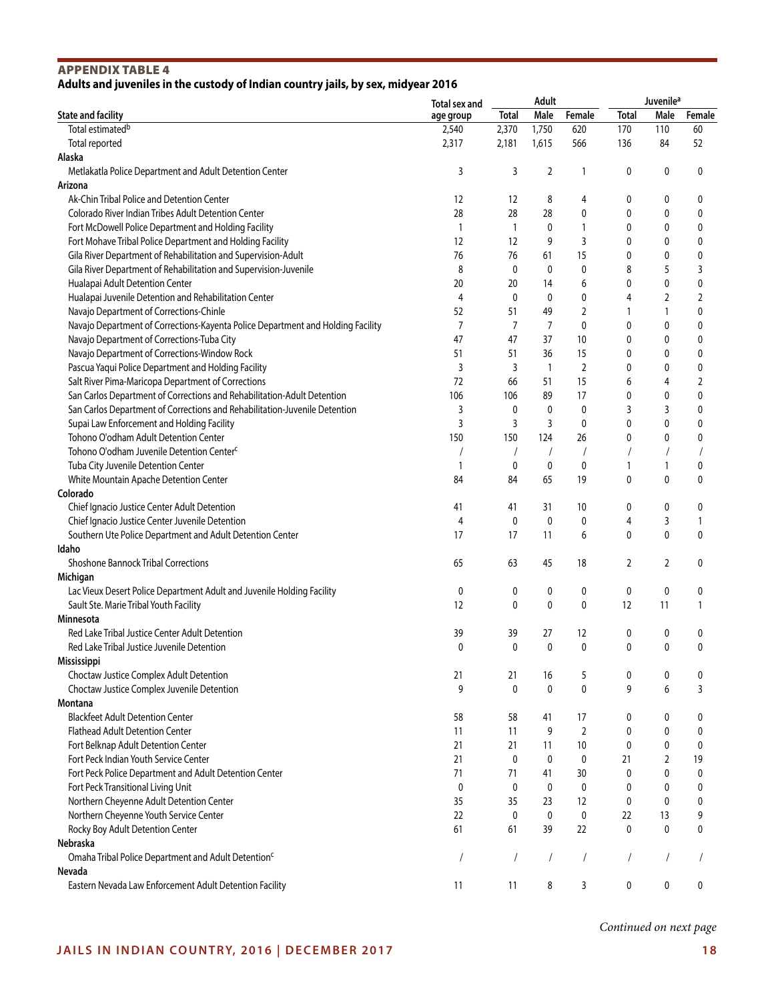# APPENDIX TABLE 4 **Adults and juveniles in the custody of Indian country jails, by sex, midyear 2016**

|                                                                                 | Total sex and | Adult          |              |                | <b>Juvenile</b> <sup>a</sup> |              |            |
|---------------------------------------------------------------------------------|---------------|----------------|--------------|----------------|------------------------------|--------------|------------|
| <b>State and facility</b>                                                       | age group     | <b>Total</b>   | Male         | Female         | <b>Total</b>                 | Male         | Female     |
| Total estimated <sup>b</sup>                                                    | 2,540         | 2,370          | 1,750        | 620            | 170                          | 110          | 60         |
| Total reported                                                                  | 2,317         | 2,181          | 1,615        | 566            | 136                          | 84           | 52         |
| Alaska                                                                          |               |                |              |                |                              |              |            |
| Metlakatla Police Department and Adult Detention Center                         | 3             | 3              | 2            | $\mathbf{1}$   | 0                            | 0            | 0          |
| Arizona                                                                         |               |                |              |                |                              |              |            |
| Ak-Chin Tribal Police and Detention Center                                      | 12            | 12             | 8            | 4              | 0                            | 0            | 0          |
| Colorado River Indian Tribes Adult Detention Center                             | 28            | 28             | 28           | 0              | 0                            | 0            | 0          |
| Fort McDowell Police Department and Holding Facility                            | $\mathbf{1}$  | $\overline{1}$ | 0            | $\mathbf{1}$   | 0                            | 0            | 0          |
| Fort Mohave Tribal Police Department and Holding Facility                       | 12            | 12             | 9            | 3              | 0                            | 0            | 0          |
| Gila River Department of Rehabilitation and Supervision-Adult                   | 76            | 76             | 61           | 15             | 0                            | 0            | 0          |
| Gila River Department of Rehabilitation and Supervision-Juvenile                | 8             | 0              | $\mathbf 0$  | $\pmb{0}$      | 8                            | 5            | 3          |
| Hualapai Adult Detention Center                                                 | 20            | 20             | 14           | 6              | 0                            | 0            | 0          |
| Hualapai Juvenile Detention and Rehabilitation Center                           | 4             | 0              | $\mathbf 0$  | 0              | 4                            | 2            | 2          |
| Navajo Department of Corrections-Chinle                                         | 52            | 51             | 49           | 2              | 1                            | 1            | 0          |
| Navajo Department of Corrections-Kayenta Police Department and Holding Facility | 7             | 7              | 7            | 0              | 0                            | 0            | 0          |
| Navajo Department of Corrections-Tuba City                                      | 47            | 47             | 37           | 10             | 0                            | 0            | 0          |
| Navajo Department of Corrections-Window Rock                                    | 51            | 51             | 36           | 15             | 0                            | 0            | 0          |
| Pascua Yaqui Police Department and Holding Facility                             | 3             | 3              | $\mathbf{1}$ | $\overline{2}$ | 0                            | 0            | 0          |
| Salt River Pima-Maricopa Department of Corrections                              | 72            | 66             | 51           | 15             | 6                            | 4            | 2          |
| San Carlos Department of Corrections and Rehabilitation-Adult Detention         | 106           | 106            | 89           | 17             | 0                            | 0            | 0          |
| San Carlos Department of Corrections and Rehabilitation-Juvenile Detention      | 3             | 0              | 0            | 0              | 3                            | 3            | 0          |
| Supai Law Enforcement and Holding Facility                                      | 3             | 3              | 3            | 0              | 0                            | 0            | 0          |
| Tohono O'odham Adult Detention Center                                           | 150           | 150            | 124          | 26             | 0                            | 0            | 0          |
| Tohono O'odham Juvenile Detention Center <sup>c</sup>                           |               |                |              | $\sqrt{2}$     |                              |              |            |
|                                                                                 |               | $\prime$       | $\sqrt{2}$   |                |                              | 1            | $\sqrt{2}$ |
| Tuba City Juvenile Detention Center                                             | $\mathbf{1}$  | 0              | 0            | 0              | 1                            |              | 0          |
| White Mountain Apache Detention Center                                          | 84            | 84             | 65           | 19             | 0                            | 0            | 0          |
| Colorado                                                                        |               |                |              |                |                              |              |            |
| Chief Ignacio Justice Center Adult Detention                                    | 41            | 41             | 31           | 10             | 0                            | 0            | 0          |
| Chief Ignacio Justice Center Juvenile Detention                                 | 4             | 0              | $\mathbf 0$  | 0              | 4                            | 3            | 1          |
| Southern Ute Police Department and Adult Detention Center                       | 17            | 17             | 11           | 6              | 0                            | $\mathbf{0}$ | 0          |
| Idaho                                                                           |               |                |              |                |                              |              |            |
| <b>Shoshone Bannock Tribal Corrections</b>                                      | 65            | 63             | 45           | 18             | 2                            | 2            | 0          |
| Michigan                                                                        |               |                |              |                |                              |              |            |
| Lac Vieux Desert Police Department Adult and Juvenile Holding Facility          | 0             | 0              | 0            | 0              | $\boldsymbol{0}$             | 0            | 0          |
| Sault Ste. Marie Tribal Youth Facility                                          | 12            | 0              | $\mathbf 0$  | 0              | 12                           | 11           | 1          |
| Minnesota                                                                       |               |                |              |                |                              |              |            |
| Red Lake Tribal Justice Center Adult Detention                                  | 39            | 39             | 27           | 12             | 0                            | 0            | 0          |
| Red Lake Tribal Justice Juvenile Detention                                      | 0             | 0              | $\mathbf{0}$ | 0              | 0                            | $\mathbf{0}$ | 0          |
| Mississippi                                                                     |               |                |              |                |                              |              |            |
| Choctaw Justice Complex Adult Detention                                         | 21            | 21             | 16           | 5              | 0                            | 0            | 0          |
| Choctaw Justice Complex Juvenile Detention                                      | 9             | $\mathbf{0}$   | $\mathbf{0}$ | 0              | 9                            | 6            | 3          |
| Montana                                                                         |               |                |              |                |                              |              |            |
| <b>Blackfeet Adult Detention Center</b>                                         | 58            | 58             | 41           | 17             | 0                            | 0            | 0          |
| <b>Flathead Adult Detention Center</b>                                          | 11            | 11             | 9            | $\overline{2}$ | 0                            | 0            | 0          |
| Fort Belknap Adult Detention Center                                             | 21            | 21             | 11           | 10             | 0                            | 0            | 0          |
| Fort Peck Indian Youth Service Center                                           | 21            | 0              | $\mathbf 0$  | 0              | 21                           | 2            | 19         |
| Fort Peck Police Department and Adult Detention Center                          | 71            | 71             | 41           | 30             | 0                            | 0            | 0          |
| Fort Peck Transitional Living Unit                                              | 0             | $\mathbf 0$    | 0            | 0              | 0                            | 0            | 0          |
| Northern Cheyenne Adult Detention Center                                        | 35            | 35             | 23           | 12             | 0                            | 0            | 0          |
| Northern Cheyenne Youth Service Center                                          | 22            | 0              | $\pmb{0}$    | $\pmb{0}$      | 22                           | 13           | 9          |
| Rocky Boy Adult Detention Center                                                | 61            | 61             | 39           | 22             | 0                            | 0            | 0          |
| Nebraska                                                                        |               |                |              |                |                              |              |            |
| Omaha Tribal Police Department and Adult Detention <sup>c</sup>                 | $\prime$      | $\overline{1}$ | $\prime$     | $\overline{1}$ | $\prime$                     |              |            |
| Nevada                                                                          |               |                |              |                |                              |              |            |
| Eastern Nevada Law Enforcement Adult Detention Facility                         | 11            | 11             | 8            | 3              | 0                            | 0            | 0          |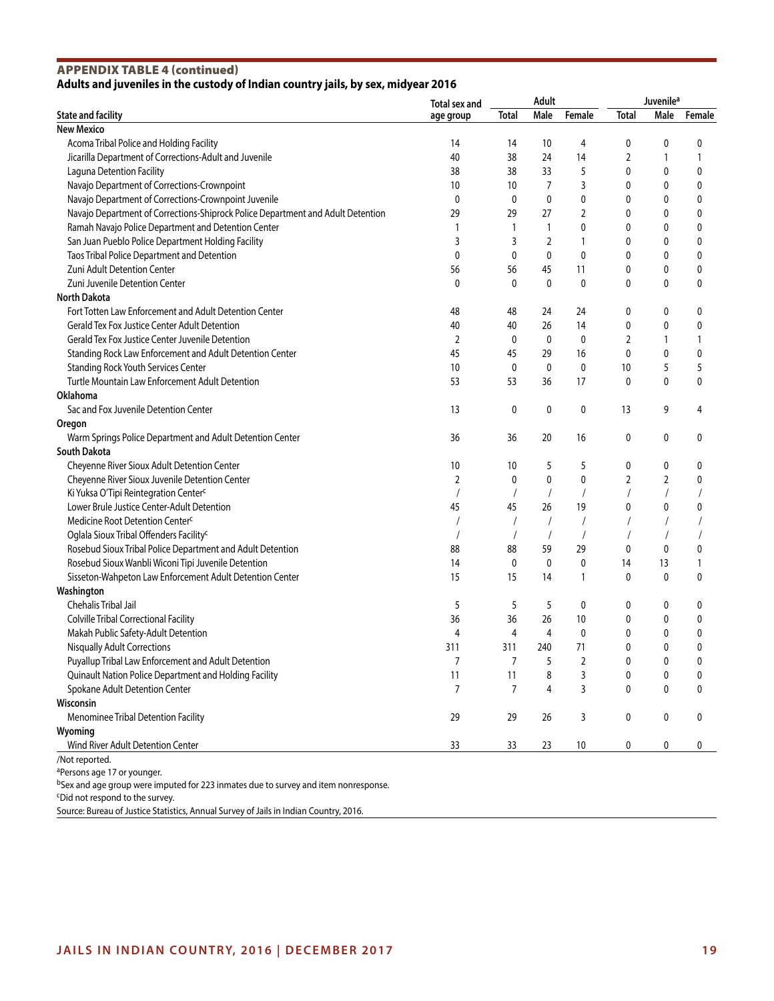### APPENDIX TABLE 4 (continued) **Adults and juveniles in the custody of Indian country jails, by sex, midyear 2016**

|                                                                                                 | Total sex and  |              | Adult        |                | Juvenile <sup>a</sup> |                |        |
|-------------------------------------------------------------------------------------------------|----------------|--------------|--------------|----------------|-----------------------|----------------|--------|
| <b>State and facility</b>                                                                       | age group      | Total        | Male         | Female         | <b>Total</b>          | Male           | Female |
| <b>New Mexico</b>                                                                               |                |              |              |                |                       |                |        |
| Acoma Tribal Police and Holding Facility                                                        | 14             | 14           | 10           | 4              | 0                     | 0              | 0      |
| Jicarilla Department of Corrections-Adult and Juvenile                                          | 40             | 38           | 24           | 14             | 2                     | 1              | 1      |
| Laguna Detention Facility                                                                       | 38             | 38           | 33           | 5              | 0                     | 0              | 0      |
| Navajo Department of Corrections-Crownpoint                                                     | 10             | 10           | 7            | 3              | 0                     | 0              | 0      |
| Navajo Department of Corrections-Crownpoint Juvenile                                            | 0              | 0            | 0            | 0              | 0                     | 0              | 0      |
| Navajo Department of Corrections-Shiprock Police Department and Adult Detention                 | 29             | 29           | 27           | $\overline{2}$ | 0                     | 0              | 0      |
| Ramah Navajo Police Department and Detention Center                                             | 1              | 1            | $\mathbf{1}$ | 0              | 0                     | 0              | 0      |
| San Juan Pueblo Police Department Holding Facility                                              | 3              | 3            | 2            | 1              | 0                     | 0              | 0      |
| Taos Tribal Police Department and Detention                                                     | 0              | 0            | $\mathbf 0$  | $\mathbf{0}$   | 0                     | 0              | 0      |
| Zuni Adult Detention Center                                                                     | 56             | 56           | 45           | 11             | 0                     | 0              | 0      |
| Zuni Juvenile Detention Center                                                                  | 0              | 0            | 0            | 0              | 0                     | 0              | 0      |
| <b>North Dakota</b>                                                                             |                |              |              |                |                       |                |        |
| Fort Totten Law Enforcement and Adult Detention Center                                          | 48             | 48           | 24           | 24             | 0                     | 0              | 0      |
| <b>Gerald Tex Fox Justice Center Adult Detention</b>                                            | 40             | 40           | 26           | 14             | 0                     | 0              | 0      |
| Gerald Tex Fox Justice Center Juvenile Detention                                                | $\overline{2}$ | $\mathbf{0}$ | 0            | $\mathbf{0}$   | 2                     | 1              | 1      |
|                                                                                                 | 45             | 45           |              |                |                       | 0              |        |
| Standing Rock Law Enforcement and Adult Detention Center                                        | 10             | $\mathbf 0$  | 29           | 16             | 0                     | 5              | 0<br>5 |
| <b>Standing Rock Youth Services Center</b>                                                      |                |              | 0            | 0              | 10                    |                |        |
| Turtle Mountain Law Enforcement Adult Detention                                                 | 53             | 53           | 36           | 17             | 0                     | 0              | 0      |
| Oklahoma                                                                                        |                |              |              |                |                       |                |        |
| Sac and Fox Juvenile Detention Center                                                           | 13             | 0            | 0            | 0              | 13                    | 9              | 4      |
| Oregon                                                                                          |                |              |              |                |                       |                |        |
| Warm Springs Police Department and Adult Detention Center                                       | 36             | 36           | 20           | 16             | 0                     | 0              | 0      |
| <b>South Dakota</b>                                                                             |                |              |              |                |                       |                |        |
| Cheyenne River Sioux Adult Detention Center                                                     | 10             | 10           | 5            | 5              | 0                     | 0              | 0      |
| Cheyenne River Sioux Juvenile Detention Center                                                  | 2              | 0            | $\mathbf 0$  | 0              | 2                     | $\overline{2}$ | 0      |
| Ki Yuksa O'Tipi Reintegration Center <sup>c</sup>                                               |                |              | $\prime$     | $\prime$       |                       | $\prime$       |        |
| Lower Brule Justice Center-Adult Detention                                                      | 45             | 45           | 26           | 19             | 0                     | 0              | 0      |
| Medicine Root Detention Center <sup>c</sup>                                                     |                |              |              |                |                       |                |        |
| Oglala Sioux Tribal Offenders Facility <sup>c</sup>                                             |                |              |              | $\sqrt{ }$     |                       |                |        |
| Rosebud Sioux Tribal Police Department and Adult Detention                                      | 88             | 88           | 59           | 29             | 0                     | 0              | 0      |
| Rosebud Sioux Wanbli Wiconi Tipi Juvenile Detention                                             | 14             | 0            | 0            | 0              | 14                    | 13             | 1      |
| Sisseton-Wahpeton Law Enforcement Adult Detention Center                                        | 15             | 15           | 14           | 1              | 0                     | 0              | 0      |
| Washington                                                                                      |                |              |              |                |                       |                |        |
| Chehalis Tribal Jail                                                                            | 5              | 5            | 5            | 0              | 0                     | 0              | 0      |
| Colville Tribal Correctional Facility                                                           | 36             | 36           | 26           | 10             | 0                     | 0              | 0      |
| Makah Public Safety-Adult Detention                                                             | $\overline{4}$ | 4            | 4            | 0              | 0                     | 0              | 0      |
| <b>Nisqually Adult Corrections</b>                                                              | 311            | 311          | 240          | 71             | 0                     | 0              | 0      |
| Puyallup Tribal Law Enforcement and Adult Detention                                             | 7              | 7            | 5            | 2              | 0                     | 0              | 0      |
| Quinault Nation Police Department and Holding Facility                                          | 11             | 11           | 8            | 3              | 0                     | 0              | 0      |
| Spokane Adult Detention Center                                                                  | $\overline{7}$ | 7            | 4            | 3              | $\mathbf{0}$          | 0              | 0      |
| Wisconsin                                                                                       |                |              |              |                |                       |                |        |
| Menominee Tribal Detention Facility                                                             | 29             | 29           | 26           | 3              | 0                     | 0              | 0      |
| Wyoming                                                                                         |                |              |              |                |                       |                |        |
| Wind River Adult Detention Center                                                               | 33             | 33           | 23           | 10             | 0                     | 0              | 0      |
| /Not reported.                                                                                  |                |              |              |                |                       |                |        |
| <sup>a</sup> Persons age 17 or younger.                                                         |                |              |              |                |                       |                |        |
| <sup>b</sup> Sex and age group were imputed for 223 inmates due to survey and item nonresponse. |                |              |              |                |                       |                |        |
| <sup>c</sup> Did not respond to the survey.                                                     |                |              |              |                |                       |                |        |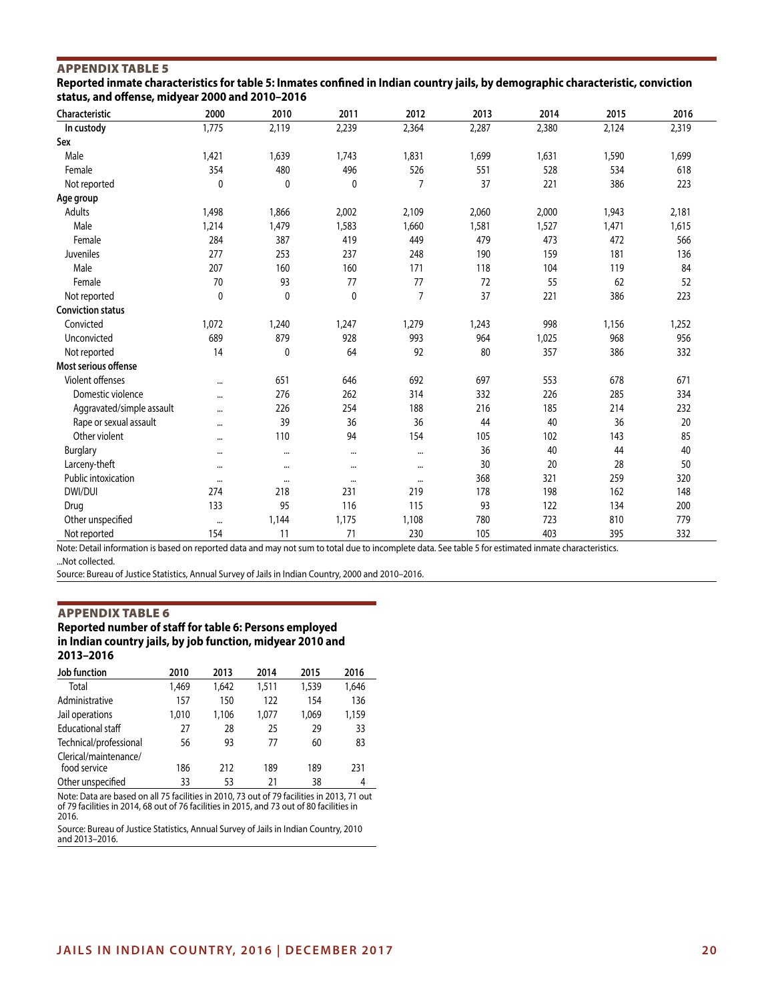# APPENDIX TABLE 5

**Reported inmate characteristics for table 5: Inmates confined in Indian country jails, by demographic characteristic, conviction status, and offense, midyear 2000 and 2010–2016**

| Characteristic            | 2000         | 2010        | 2011        | 2012           | 2013  | 2014  | 2015  | 2016  |
|---------------------------|--------------|-------------|-------------|----------------|-------|-------|-------|-------|
| In custody                | 1,775        | 2,119       | 2,239       | 2,364          | 2,287 | 2,380 | 2,124 | 2,319 |
| Sex                       |              |             |             |                |       |       |       |       |
| Male                      | 1,421        | 1,639       | 1,743       | 1,831          | 1,699 | 1,631 | 1,590 | 1,699 |
| Female                    | 354          | 480         | 496         | 526            | 551   | 528   | 534   | 618   |
| Not reported              | $\mathbf 0$  | 0           | 0           | $\overline{7}$ | 37    | 221   | 386   | 223   |
| Age group                 |              |             |             |                |       |       |       |       |
| <b>Adults</b>             | 1,498        | 1,866       | 2,002       | 2,109          | 2,060 | 2,000 | 1,943 | 2,181 |
| Male                      | 1,214        | 1,479       | 1,583       | 1,660          | 1,581 | 1,527 | 1,471 | 1,615 |
| Female                    | 284          | 387         | 419         | 449            | 479   | 473   | 472   | 566   |
| Juveniles                 | 277          | 253         | 237         | 248            | 190   | 159   | 181   | 136   |
| Male                      | 207          | 160         | 160         | 171            | 118   | 104   | 119   | 84    |
| Female                    | 70           | 93          | 77          | 77             | 72    | 55    | 62    | 52    |
| Not reported              | $\mathbf{0}$ | $\mathbf 0$ | $\mathbf 0$ | $\overline{7}$ | 37    | 221   | 386   | 223   |
| <b>Conviction status</b>  |              |             |             |                |       |       |       |       |
| Convicted                 | 1,072        | 1,240       | 1,247       | 1,279          | 1,243 | 998   | 1,156 | 1,252 |
| Unconvicted               | 689          | 879         | 928         | 993            | 964   | 1,025 | 968   | 956   |
| Not reported              | 14           | $\mathbf 0$ | 64          | 92             | 80    | 357   | 386   | 332   |
| Most serious offense      |              |             |             |                |       |       |       |       |
| Violent offenses          |              | 651         | 646         | 692            | 697   | 553   | 678   | 671   |
| Domestic violence         | $\cdots$     | 276         | 262         | 314            | 332   | 226   | 285   | 334   |
| Aggravated/simple assault |              | 226         | 254         | 188            | 216   | 185   | 214   | 232   |
| Rape or sexual assault    |              | 39          | 36          | 36             | 44    | 40    | 36    | 20    |
| Other violent             |              | 110         | 94          | 154            | 105   | 102   | 143   | 85    |
| Burglary                  | $\cdots$     | $\cdots$    | $\cdots$    |                | 36    | 40    | 44    | 40    |
| Larceny-theft             | $\cdots$     | $\cdots$    | $\cdots$    | $\cdots$       | 30    | 20    | 28    | 50    |
| Public intoxication       | $\cdots$     | $\cdots$    | $\cdots$    | $\cdots$       | 368   | 321   | 259   | 320   |
| DWI/DUI                   | 274          | 218         | 231         | 219            | 178   | 198   | 162   | 148   |
| Drug                      | 133          | 95          | 116         | 115            | 93    | 122   | 134   | 200   |
| Other unspecified         |              | 1,144       | 1,175       | 1,108          | 780   | 723   | 810   | 779   |
| Not reported              | 154          | 11          | 71          | 230            | 105   | 403   | 395   | 332   |

Note: Detail information is based on reported data and may not sum to total due to incomplete data. See table 5 for estimated inmate characteristics. ...Not collected.

Source: Bureau of Justice Statistics, Annual Survey of Jails in Indian Country, 2000 and 2010–2016.

#### APPENDIX TABLE 6

### **Reported number of staff for table 6: Persons employed in Indian country jails, by job function, midyear 2010 and 2013–2016**

| Job function                          | 2010  | 2013  | 2014  | 2015  | 2016  |
|---------------------------------------|-------|-------|-------|-------|-------|
| Total                                 | 1,469 | 1.642 | 1,511 | 1,539 | 1,646 |
| Administrative                        | 157   | 150   | 122   | 154   | 136   |
| Jail operations                       | 1,010 | 1,106 | 1.077 | 1,069 | 1,159 |
| <b>Educational staff</b>              | 27    | 28    | 25    | 29    | 33    |
| Technical/professional                | 56    | 93    | 77    | 60    | 83    |
| Clerical/maintenance/<br>food service | 186   | 212   | 189   | 189   | 231   |
| Other unspecified                     | 33    | 53    | 21    | 38    | 4     |

Note: Data are based on all 75 facilities in 2010, 73 out of 79 facilities in 2013, 71 out of 79 facilities in 2014, 68 out of 76 facilities in 2015, and 73 out of 80 facilities in 2016.